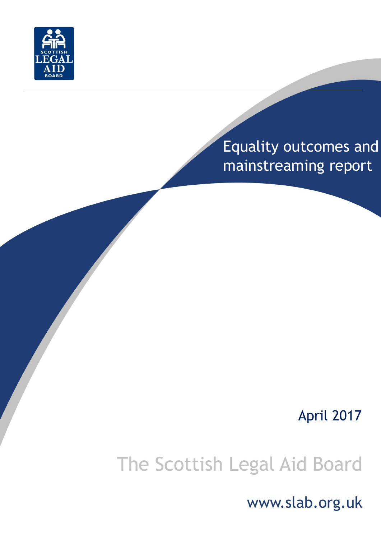

# Equality outcomes and mainstreaming report

# April 2017

# The Scottish Legal Aid Board

www.slab.org.uk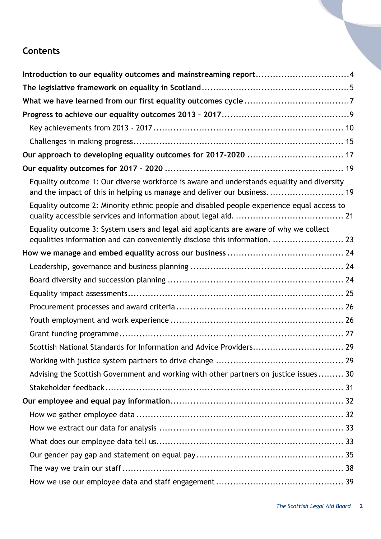# **Contents**

| Introduction to our equality outcomes and mainstreaming report4                                                                                                      |
|----------------------------------------------------------------------------------------------------------------------------------------------------------------------|
|                                                                                                                                                                      |
|                                                                                                                                                                      |
|                                                                                                                                                                      |
|                                                                                                                                                                      |
|                                                                                                                                                                      |
|                                                                                                                                                                      |
|                                                                                                                                                                      |
| Equality outcome 1: Our diverse workforce is aware and understands equality and diversity<br>and the impact of this in helping us manage and deliver our business 19 |
| Equality outcome 2: Minority ethnic people and disabled people experience equal access to                                                                            |
| Equality outcome 3: System users and legal aid applicants are aware of why we collect<br>equalities information and can conveniently disclose this information.  23  |
|                                                                                                                                                                      |
|                                                                                                                                                                      |
|                                                                                                                                                                      |
|                                                                                                                                                                      |
|                                                                                                                                                                      |
|                                                                                                                                                                      |
|                                                                                                                                                                      |
| Scottish National Standards for Information and Advice Providers 29                                                                                                  |
|                                                                                                                                                                      |
| Advising the Scottish Government and working with other partners on justice issues 30                                                                                |
|                                                                                                                                                                      |
|                                                                                                                                                                      |
|                                                                                                                                                                      |
|                                                                                                                                                                      |
|                                                                                                                                                                      |
|                                                                                                                                                                      |
|                                                                                                                                                                      |
|                                                                                                                                                                      |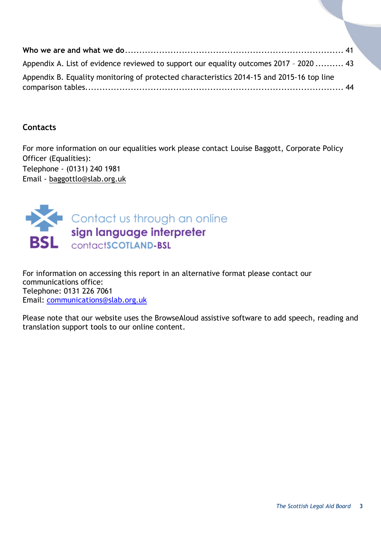| Appendix A. List of evidence reviewed to support our equality outcomes 2017 - 2020  43    |  |
|-------------------------------------------------------------------------------------------|--|
| Appendix B. Equality monitoring of protected characteristics 2014-15 and 2015-16 top line |  |
|                                                                                           |  |

#### **Contacts**

For more information on our equalities work please contact Louise Baggott, Corporate Policy Officer (Equalities): Telephone - (0131) 240 1981 Email - [baggottlo@slab.org.uk](mailto:baggottlo@slab.org.uk)



For information on accessing this report in an alternative format please contact our communications office: Telephone: 0131 226 7061 Email: [communications@slab.org.uk](mailto:communications@slab.org.uk)

Please note that our website uses the BrowseAloud assistive software to add speech, reading and translation support tools to our online content.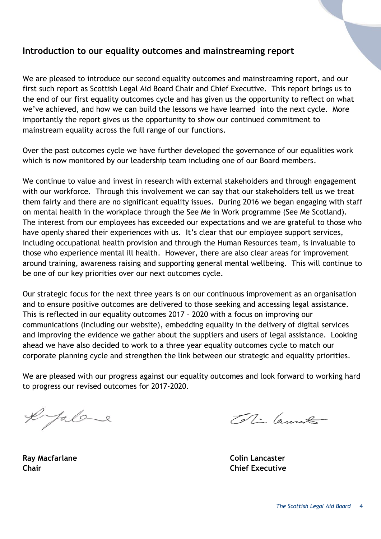#### <span id="page-3-0"></span>**Introduction to our equality outcomes and mainstreaming report**

We are pleased to introduce our second equality outcomes and mainstreaming report, and our first such report as Scottish Legal Aid Board Chair and Chief Executive. This report brings us to the end of our first equality outcomes cycle and has given us the opportunity to reflect on what we've achieved, and how we can build the lessons we have learned into the next cycle. More importantly the report gives us the opportunity to show our continued commitment to mainstream equality across the full range of our functions.

Over the past outcomes cycle we have further developed the governance of our equalities work which is now monitored by our leadership team including one of our Board members.

We continue to value and invest in research with external stakeholders and through engagement with our workforce. Through this involvement we can say that our stakeholders tell us we treat them fairly and there are no significant equality issues. During 2016 we began engaging with staff on mental health in the workplace through the See Me in Work programme (See Me Scotland). The interest from our employees has exceeded our expectations and we are grateful to those who have openly shared their experiences with us. It's clear that our employee support services, including occupational health provision and through the Human Resources team, is invaluable to those who experience mental ill health. However, there are also clear areas for improvement around training, awareness raising and supporting general mental wellbeing. This will continue to be one of our key priorities over our next outcomes cycle.

Our strategic focus for the next three years is on our continuous improvement as an organisation and to ensure positive outcomes are delivered to those seeking and accessing legal assistance. This is reflected in our equality outcomes 2017 – 2020 with a focus on improving our communications (including our website), embedding equality in the delivery of digital services and improving the evidence we gather about the suppliers and users of legal assistance. Looking ahead we have also decided to work to a three year equality outcomes cycle to match our corporate planning cycle and strengthen the link between our strategic and equality priorities.

We are pleased with our progress against our equality outcomes and look forward to working hard to progress our revised outcomes for 2017-2020.

efalare

Toti Cannot

**Ray Macfarlane Colin Lancaster Chair Chief Executive**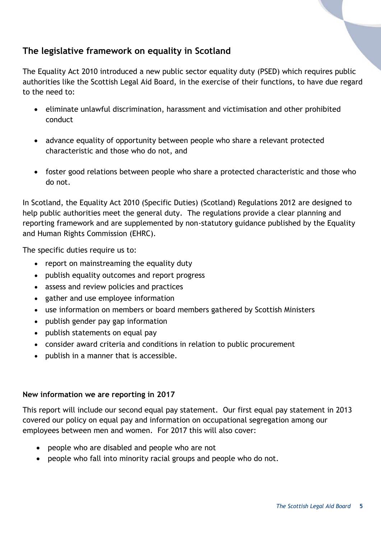# <span id="page-4-0"></span>**The legislative framework on equality in Scotland**

The Equality Act 2010 introduced a new public sector equality duty (PSED) which requires public authorities like the Scottish Legal Aid Board, in the exercise of their functions, to have due regard to the need to:

- eliminate unlawful discrimination, harassment and victimisation and other prohibited conduct
- advance equality of opportunity between people who share a relevant protected characteristic and those who do not, and
- foster good relations between people who share a protected characteristic and those who do not.

In Scotland, the Equality Act 2010 (Specific Duties) (Scotland) Regulations 2012 are designed to help public authorities meet the general duty. The regulations provide a clear planning and reporting framework and are supplemented by non-statutory guidance published by the Equality and Human Rights Commission (EHRC).

The specific duties require us to:

- report on mainstreaming the equality duty
- publish equality outcomes and report progress
- assess and review policies and practices
- gather and use employee information
- use information on members or board members gathered by Scottish Ministers
- publish gender pay gap information
- publish statements on equal pay
- consider award criteria and conditions in relation to public procurement
- publish in a manner that is accessible.

#### **New information we are reporting in 2017**

This report will include our second equal pay statement. Our first equal pay statement in 2013 covered our policy on equal pay and information on occupational segregation among our employees between men and women. For 2017 this will also cover:

- people who are disabled and people who are not
- people who fall into minority racial groups and people who do not.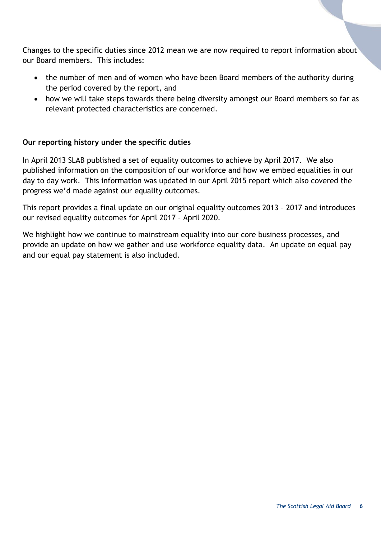Changes to the specific duties since 2012 mean we are now required to report information about our Board members. This includes:

- the number of men and of women who have been Board members of the authority during the period covered by the report, and
- how we will take steps towards there being diversity amongst our Board members so far as relevant protected characteristics are concerned.

#### **Our reporting history under the specific duties**

In April 2013 SLAB published a set of equality outcomes to achieve by April 2017. We also published information on the composition of our workforce and how we embed equalities in our day to day work. This information was updated in our April 2015 report which also covered the progress we'd made against our equality outcomes.

This report provides a final update on our original equality outcomes 2013 – 2017 and introduces our revised equality outcomes for April 2017 – April 2020.

We highlight how we continue to mainstream equality into our core business processes, and provide an update on how we gather and use workforce equality data. An update on equal pay and our equal pay statement is also included.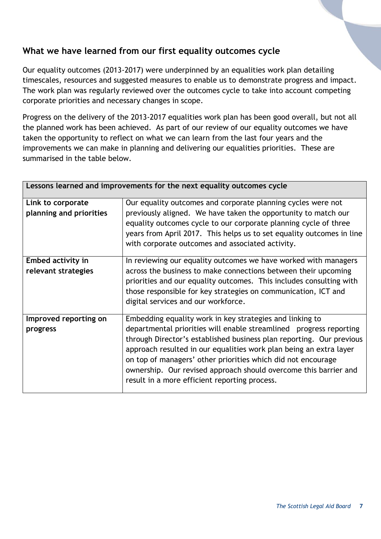# <span id="page-6-0"></span>**What we have learned from our first equality outcomes cycle**

Our equality outcomes (2013-2017) were underpinned by an equalities work plan detailing timescales, resources and suggested measures to enable us to demonstrate progress and impact. The work plan was regularly reviewed over the outcomes cycle to take into account competing corporate priorities and necessary changes in scope.

Progress on the delivery of the 2013-2017 equalities work plan has been good overall, but not all the planned work has been achieved. As part of our review of our equality outcomes we have taken the opportunity to reflect on what we can learn from the last four years and the improvements we can make in planning and delivering our equalities priorities. These are summarised in the table below.

|                                          | Lessons learned and improvements for the next equality outcomes cycle                                                                                                                                                                                                                                                                                                                                                                                             |
|------------------------------------------|-------------------------------------------------------------------------------------------------------------------------------------------------------------------------------------------------------------------------------------------------------------------------------------------------------------------------------------------------------------------------------------------------------------------------------------------------------------------|
| Link to corporate                        | Our equality outcomes and corporate planning cycles were not                                                                                                                                                                                                                                                                                                                                                                                                      |
| planning and priorities                  | previously aligned. We have taken the opportunity to match our<br>equality outcomes cycle to our corporate planning cycle of three<br>years from April 2017. This helps us to set equality outcomes in line<br>with corporate outcomes and associated activity.                                                                                                                                                                                                   |
| Embed activity in<br>relevant strategies | In reviewing our equality outcomes we have worked with managers<br>across the business to make connections between their upcoming<br>priorities and our equality outcomes. This includes consulting with<br>those responsible for key strategies on communication, ICT and<br>digital services and our workforce.                                                                                                                                                 |
| Improved reporting on<br>progress        | Embedding equality work in key strategies and linking to<br>departmental priorities will enable streamlined progress reporting<br>through Director's established business plan reporting. Our previous<br>approach resulted in our equalities work plan being an extra layer<br>on top of managers' other priorities which did not encourage<br>ownership. Our revised approach should overcome this barrier and<br>result in a more efficient reporting process. |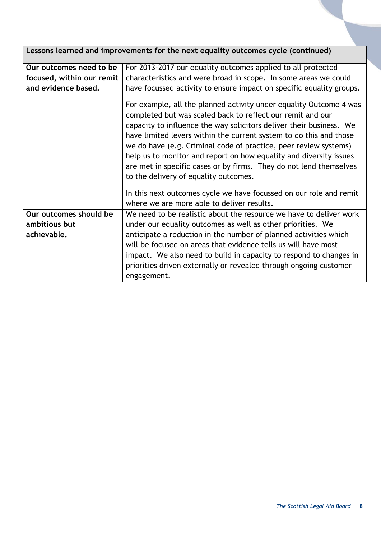| Lessons learned and improvements for the next equality outcomes cycle (continued) |                                                                                                                                                                                                                                                                                                                                                                                                                                                                                                                                        |  |
|-----------------------------------------------------------------------------------|----------------------------------------------------------------------------------------------------------------------------------------------------------------------------------------------------------------------------------------------------------------------------------------------------------------------------------------------------------------------------------------------------------------------------------------------------------------------------------------------------------------------------------------|--|
| Our outcomes need to be                                                           | For 2013-2017 our equality outcomes applied to all protected                                                                                                                                                                                                                                                                                                                                                                                                                                                                           |  |
| focused, within our remit                                                         | characteristics and were broad in scope. In some areas we could                                                                                                                                                                                                                                                                                                                                                                                                                                                                        |  |
| and evidence based.                                                               | have focussed activity to ensure impact on specific equality groups.                                                                                                                                                                                                                                                                                                                                                                                                                                                                   |  |
|                                                                                   | For example, all the planned activity under equality Outcome 4 was<br>completed but was scaled back to reflect our remit and our<br>capacity to influence the way solicitors deliver their business. We<br>have limited levers within the current system to do this and those<br>we do have (e.g. Criminal code of practice, peer review systems)<br>help us to monitor and report on how equality and diversity issues<br>are met in specific cases or by firms. They do not lend themselves<br>to the delivery of equality outcomes. |  |
|                                                                                   | In this next outcomes cycle we have focussed on our role and remit                                                                                                                                                                                                                                                                                                                                                                                                                                                                     |  |
|                                                                                   | where we are more able to deliver results.                                                                                                                                                                                                                                                                                                                                                                                                                                                                                             |  |
| Our outcomes should be                                                            | We need to be realistic about the resource we have to deliver work                                                                                                                                                                                                                                                                                                                                                                                                                                                                     |  |
| ambitious but                                                                     | under our equality outcomes as well as other priorities. We                                                                                                                                                                                                                                                                                                                                                                                                                                                                            |  |
| achievable.                                                                       | anticipate a reduction in the number of planned activities which                                                                                                                                                                                                                                                                                                                                                                                                                                                                       |  |
|                                                                                   | will be focused on areas that evidence tells us will have most                                                                                                                                                                                                                                                                                                                                                                                                                                                                         |  |
|                                                                                   | impact. We also need to build in capacity to respond to changes in                                                                                                                                                                                                                                                                                                                                                                                                                                                                     |  |
|                                                                                   | priorities driven externally or revealed through ongoing customer<br>engagement.                                                                                                                                                                                                                                                                                                                                                                                                                                                       |  |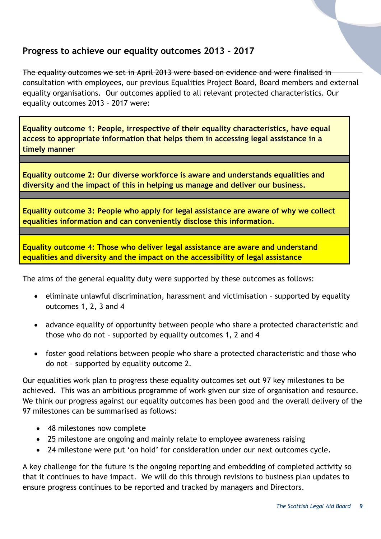### <span id="page-8-0"></span>**Progress to achieve our equality outcomes 2013 – 2017**

The equality outcomes we set in April 2013 were based on evidence and were finalised in consultation with employees, our previous Equalities Project Board, Board members and external equality organisations. Our outcomes applied to all relevant protected characteristics. Our equality outcomes 2013 – 2017 were:

**Equality outcome 1: People, irrespective of their equality characteristics, have equal access to appropriate information that helps them in accessing legal assistance in a timely manner**

**Equality outcome 2: Our diverse workforce is aware and understands equalities and diversity and the impact of this in helping us manage and deliver our business.**

**Equality outcome 3: People who apply for legal assistance are aware of why we collect equalities information and can conveniently disclose this information.**

**Equality outcome 4: Those who deliver legal assistance are aware and understand equalities and diversity and the impact on the accessibility of legal assistance**

The aims of the general equality duty were supported by these outcomes as follows:

- eliminate unlawful discrimination, harassment and victimisation supported by equality outcomes 1, 2, 3 and 4
- advance equality of opportunity between people who share a protected characteristic and those who do not – supported by equality outcomes 1, 2 and 4
- foster good relations between people who share a protected characteristic and those who do not – supported by equality outcome 2.

Our equalities work plan to progress these equality outcomes set out 97 key milestones to be achieved. This was an ambitious programme of work given our size of organisation and resource. We think our progress against our equality outcomes has been good and the overall delivery of the 97 milestones can be summarised as follows:

- 48 milestones now complete
- 25 milestone are ongoing and mainly relate to employee awareness raising
- 24 milestone were put 'on hold' for consideration under our next outcomes cycle.

A key challenge for the future is the ongoing reporting and embedding of completed activity so that it continues to have impact. We will do this through revisions to business plan updates to ensure progress continues to be reported and tracked by managers and Directors.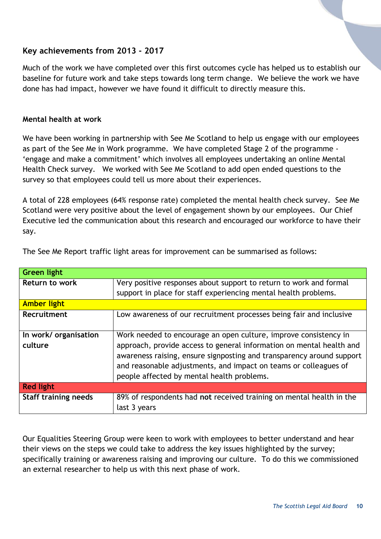#### <span id="page-9-0"></span>**Key achievements from 2013 - 2017**

Much of the work we have completed over this first outcomes cycle has helped us to establish our baseline for future work and take steps towards long term change. We believe the work we have done has had impact, however we have found it difficult to directly measure this.

#### **Mental health at work**

We have been working in partnership with See Me Scotland to help us engage with our employees as part of the See Me in Work programme. We have completed Stage 2 of the programme - 'engage and make a commitment' which involves all employees undertaking an online Mental Health Check survey. We worked with See Me Scotland to add open ended questions to the survey so that employees could tell us more about their experiences.

A total of 228 employees (64% response rate) completed the mental health check survey. See Me Scotland were very positive about the level of engagement shown by our employees. Our Chief Executive led the communication about this research and encouraged our workforce to have their say.

| <b>Green light</b>               |                                                                                                                                                                                                                                                                                                                                     |
|----------------------------------|-------------------------------------------------------------------------------------------------------------------------------------------------------------------------------------------------------------------------------------------------------------------------------------------------------------------------------------|
| <b>Return to work</b>            | Very positive responses about support to return to work and formal                                                                                                                                                                                                                                                                  |
|                                  | support in place for staff experiencing mental health problems.                                                                                                                                                                                                                                                                     |
| <b>Amber light</b>               |                                                                                                                                                                                                                                                                                                                                     |
| Recruitment                      | Low awareness of our recruitment processes being fair and inclusive                                                                                                                                                                                                                                                                 |
| In work/ organisation<br>culture | Work needed to encourage an open culture, improve consistency in<br>approach, provide access to general information on mental health and<br>awareness raising, ensure signposting and transparency around support<br>and reasonable adjustments, and impact on teams or colleagues of<br>people affected by mental health problems. |
| <b>Red light</b>                 |                                                                                                                                                                                                                                                                                                                                     |
| <b>Staff training needs</b>      | 89% of respondents had not received training on mental health in the                                                                                                                                                                                                                                                                |
|                                  | last 3 years                                                                                                                                                                                                                                                                                                                        |

The See Me Report traffic light areas for improvement can be summarised as follows:

Our Equalities Steering Group were keen to work with employees to better understand and hear their views on the steps we could take to address the key issues highlighted by the survey; specifically training or awareness raising and improving our culture. To do this we commissioned an external researcher to help us with this next phase of work.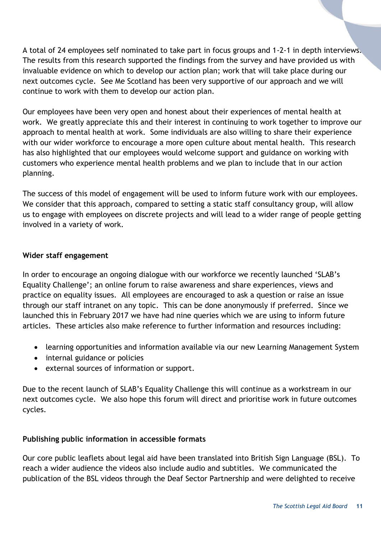A total of 24 employees self nominated to take part in focus groups and 1-2-1 in depth interviews. The results from this research supported the findings from the survey and have provided us with invaluable evidence on which to develop our action plan; work that will take place during our next outcomes cycle. See Me Scotland has been very supportive of our approach and we will continue to work with them to develop our action plan.

Our employees have been very open and honest about their experiences of mental health at work. We greatly appreciate this and their interest in continuing to work together to improve our approach to mental health at work. Some individuals are also willing to share their experience with our wider workforce to encourage a more open culture about mental health. This research has also highlighted that our employees would welcome support and guidance on working with customers who experience mental health problems and we plan to include that in our action planning.

The success of this model of engagement will be used to inform future work with our employees. We consider that this approach, compared to setting a static staff consultancy group, will allow us to engage with employees on discrete projects and will lead to a wider range of people getting involved in a variety of work.

#### **Wider staff engagement**

In order to encourage an ongoing dialogue with our workforce we recently launched 'SLAB's Equality Challenge'; an online forum to raise awareness and share experiences, views and practice on equality issues. All employees are encouraged to ask a question or raise an issue through our staff intranet on any topic. This can be done anonymously if preferred. Since we launched this in February 2017 we have had nine queries which we are using to inform future articles. These articles also make reference to further information and resources including:

- learning opportunities and information available via our new Learning Management System
- internal guidance or policies
- external sources of information or support.

Due to the recent launch of SLAB's Equality Challenge this will continue as a workstream in our next outcomes cycle. We also hope this forum will direct and prioritise work in future outcomes cycles.

#### **Publishing public information in accessible formats**

Our core public leaflets about legal aid have been translated into British Sign Language (BSL). To reach a wider audience the videos also include audio and subtitles. We communicated the publication of the BSL videos through the Deaf Sector Partnership and were delighted to receive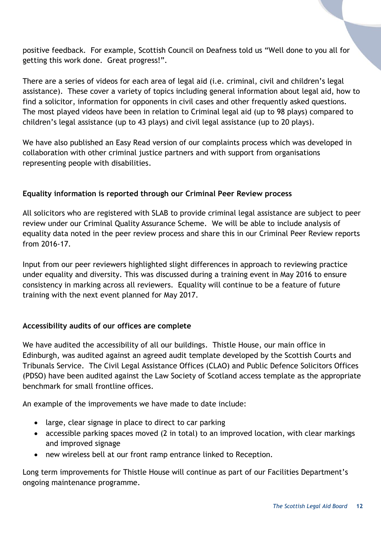positive feedback. For example, Scottish Council on Deafness told us "Well done to you all for getting this work done. Great progress!".

There are a series of videos for each area of legal aid (i.e. criminal, civil and children's legal assistance). These cover a variety of topics including general information about legal aid, how to find a solicitor, information for opponents in civil cases and other frequently asked questions. The most played videos have been in relation to Criminal legal aid (up to 98 plays) compared to children's legal assistance (up to 43 plays) and civil legal assistance (up to 20 plays).

We have also published an Easy Read version of our complaints process which was developed in collaboration with other criminal justice partners and with support from organisations representing people with disabilities.

#### **Equality information is reported through our Criminal Peer Review process**

All solicitors who are registered with SLAB to provide criminal legal assistance are subject to peer review under our Criminal Quality Assurance Scheme. We will be able to include analysis of equality data noted in the peer review process and share this in our Criminal Peer Review reports from 2016-17.

Input from our peer reviewers highlighted slight differences in approach to reviewing practice under equality and diversity. This was discussed during a training event in May 2016 to ensure consistency in marking across all reviewers. Equality will continue to be a feature of future training with the next event planned for May 2017.

#### **Accessibility audits of our offices are complete**

We have audited the accessibility of all our buildings. Thistle House, our main office in Edinburgh, was audited against an agreed audit template developed by the Scottish Courts and Tribunals Service. The Civil Legal Assistance Offices (CLAO) and Public Defence Solicitors Offices (PDSO) have been audited against the Law Society of Scotland access template as the appropriate benchmark for small frontline offices.

An example of the improvements we have made to date include:

- large, clear signage in place to direct to car parking
- accessible parking spaces moved (2 in total) to an improved location, with clear markings and improved signage
- new wireless bell at our front ramp entrance linked to Reception.

Long term improvements for Thistle House will continue as part of our Facilities Department's ongoing maintenance programme.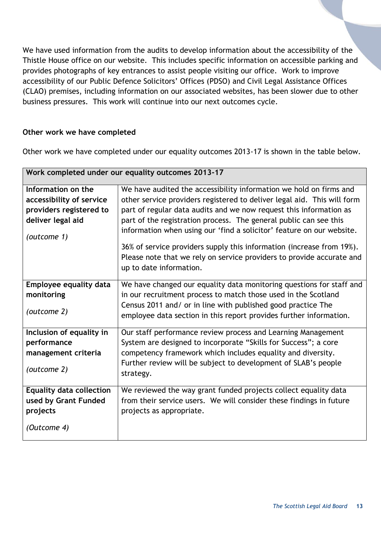We have used information from the audits to develop information about the accessibility of the Thistle House office on our website. This includes specific information on accessible parking and provides photographs of key entrances to assist people visiting our office. Work to improve accessibility of our Public Defence Solicitors' Offices (PDSO) and Civil Legal Assistance Offices (CLAO) premises, including information on our associated websites, has been slower due to other business pressures. This work will continue into our next outcomes cycle.

#### **Other work we have completed**

Other work we have completed under our equality outcomes 2013-17 is shown in the table below.

| Work completed under our equality outcomes 2013-17 |                                                                         |  |
|----------------------------------------------------|-------------------------------------------------------------------------|--|
| Information on the                                 | We have audited the accessibility information we hold on firms and      |  |
| accessibility of service                           | other service providers registered to deliver legal aid. This will form |  |
| providers registered to                            | part of regular data audits and we now request this information as      |  |
| deliver legal aid                                  | part of the registration process. The general public can see this       |  |
| (outcome 1)                                        | information when using our 'find a solicitor' feature on our website.   |  |
|                                                    | 36% of service providers supply this information (increase from 19%).   |  |
|                                                    | Please note that we rely on service providers to provide accurate and   |  |
|                                                    | up to date information.                                                 |  |
|                                                    |                                                                         |  |
| Employee equality data                             | We have changed our equality data monitoring questions for staff and    |  |
| monitoring                                         | in our recruitment process to match those used in the Scotland          |  |
| (outcome 2)                                        | Census 2011 and/ or in line with published good practice The            |  |
|                                                    | employee data section in this report provides further information.      |  |
| Inclusion of equality in                           | Our staff performance review process and Learning Management            |  |
| performance                                        | System are designed to incorporate "Skills for Success"; a core         |  |
| management criteria                                | competency framework which includes equality and diversity.             |  |
|                                                    | Further review will be subject to development of SLAB's people          |  |
| (outcome 2)                                        | strategy.                                                               |  |
|                                                    |                                                                         |  |
| <b>Equality data collection</b>                    | We reviewed the way grant funded projects collect equality data         |  |
| used by Grant Funded                               | from their service users. We will consider these findings in future     |  |
| projects                                           | projects as appropriate.                                                |  |
| (Outcome 4)                                        |                                                                         |  |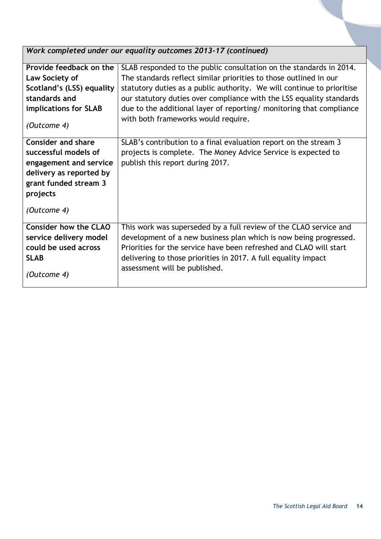*Work completed under our equality outcomes 2013-17 (continued)*

| Provide feedback on the      | SLAB responded to the public consultation on the standards in 2014.    |
|------------------------------|------------------------------------------------------------------------|
| Law Society of               | The standards reflect similar priorities to those outlined in our      |
| Scotland's (LSS) equality    | statutory duties as a public authority. We will continue to prioritise |
| standards and                | our statutory duties over compliance with the LSS equality standards   |
| implications for SLAB        | due to the additional layer of reporting/ monitoring that compliance   |
|                              | with both frameworks would require.                                    |
| (Outcome 4)                  |                                                                        |
| <b>Consider and share</b>    | SLAB's contribution to a final evaluation report on the stream 3       |
|                              |                                                                        |
| successful models of         | projects is complete. The Money Advice Service is expected to          |
| engagement and service       | publish this report during 2017.                                       |
| delivery as reported by      |                                                                        |
| grant funded stream 3        |                                                                        |
| projects                     |                                                                        |
|                              |                                                                        |
| (Outcome 4)                  |                                                                        |
| <b>Consider how the CLAO</b> |                                                                        |
|                              | This work was superseded by a full review of the CLAO service and      |
| service delivery model       | development of a new business plan which is now being progressed.      |
| could be used across         | Priorities for the service have been refreshed and CLAO will start     |
| <b>SLAB</b>                  | delivering to those priorities in 2017. A full equality impact         |
|                              | assessment will be published.                                          |
| (Outcome 4)                  |                                                                        |
|                              |                                                                        |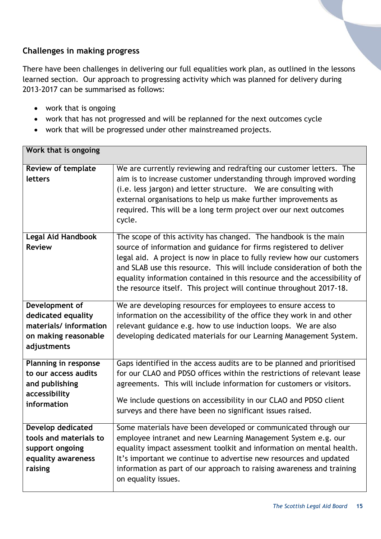#### <span id="page-14-0"></span>**Challenges in making progress**

There have been challenges in delivering our full equalities work plan, as outlined in the lessons learned section. Our approach to progressing activity which was planned for delivery during 2013-2017 can be summarised as follows:

- work that is ongoing
- work that has not progressed and will be replanned for the next outcomes cycle
- work that will be progressed under other mainstreamed projects.

| Work that is ongoing                                                                                   |                                                                                                                                                                                                                                                                                                                                                                                                                                                |
|--------------------------------------------------------------------------------------------------------|------------------------------------------------------------------------------------------------------------------------------------------------------------------------------------------------------------------------------------------------------------------------------------------------------------------------------------------------------------------------------------------------------------------------------------------------|
| <b>Review of template</b><br>letters                                                                   | We are currently reviewing and redrafting our customer letters. The<br>aim is to increase customer understanding through improved wording<br>(i.e. less jargon) and letter structure. We are consulting with<br>external organisations to help us make further improvements as<br>required. This will be a long term project over our next outcomes<br>cycle.                                                                                  |
| Legal Aid Handbook<br><b>Review</b>                                                                    | The scope of this activity has changed. The handbook is the main<br>source of information and guidance for firms registered to deliver<br>legal aid. A project is now in place to fully review how our customers<br>and SLAB use this resource. This will include consideration of both the<br>equality information contained in this resource and the accessibility of<br>the resource itself. This project will continue throughout 2017-18. |
| Development of<br>dedicated equality<br>materials/information<br>on making reasonable<br>adjustments   | We are developing resources for employees to ensure access to<br>information on the accessibility of the office they work in and other<br>relevant guidance e.g. how to use induction loops. We are also<br>developing dedicated materials for our Learning Management System.                                                                                                                                                                 |
| <b>Planning in response</b><br>to our access audits<br>and publishing<br>accessibility<br>information  | Gaps identified in the access audits are to be planned and prioritised<br>for our CLAO and PDSO offices within the restrictions of relevant lease<br>agreements. This will include information for customers or visitors.<br>We include questions on accessibility in our CLAO and PDSO client<br>surveys and there have been no significant issues raised.                                                                                    |
| <b>Develop dedicated</b><br>tools and materials to<br>support ongoing<br>equality awareness<br>raising | Some materials have been developed or communicated through our<br>employee intranet and new Learning Management System e.g. our<br>equality impact assessment toolkit and information on mental health.<br>It's important we continue to advertise new resources and updated<br>information as part of our approach to raising awareness and training<br>on equality issues.                                                                   |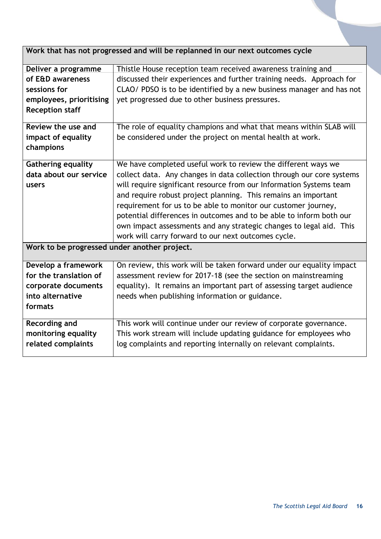|  | Work that has not progressed and will be replanned in our next outcomes cycle |
|--|-------------------------------------------------------------------------------|
|  |                                                                               |

 $\overline{\phantom{a}}$ 

| Deliver a programme                          | Thistle House reception team received awareness training and          |
|----------------------------------------------|-----------------------------------------------------------------------|
| of E&D awareness                             | discussed their experiences and further training needs. Approach for  |
| sessions for                                 | CLAO/ PDSO is to be identified by a new business manager and has not  |
| employees, prioritising                      | yet progressed due to other business pressures.                       |
| <b>Reception staff</b>                       |                                                                       |
| Review the use and                           | The role of equality champions and what that means within SLAB will   |
| impact of equality<br>champions              | be considered under the project on mental health at work.             |
| <b>Gathering equality</b>                    | We have completed useful work to review the different ways we         |
| data about our service                       | collect data. Any changes in data collection through our core systems |
| users                                        | will require significant resource from our Information Systems team   |
|                                              | and require robust project planning. This remains an important        |
|                                              | requirement for us to be able to monitor our customer journey,        |
|                                              | potential differences in outcomes and to be able to inform both our   |
|                                              | own impact assessments and any strategic changes to legal aid. This   |
|                                              | work will carry forward to our next outcomes cycle.                   |
| Work to be progressed under another project. |                                                                       |
| Develop a framework                          | On review, this work will be taken forward under our equality impact  |
| for the translation of                       | assessment review for 2017-18 (see the section on mainstreaming       |
| corporate documents                          | equality). It remains an important part of assessing target audience  |
| into alternative                             | needs when publishing information or guidance.                        |
| formats                                      |                                                                       |
| Recording and                                | This work will continue under our review of corporate governance.     |
| monitoring equality                          | This work stream will include updating guidance for employees who     |
| related complaints                           | log complaints and reporting internally on relevant complaints.       |
|                                              |                                                                       |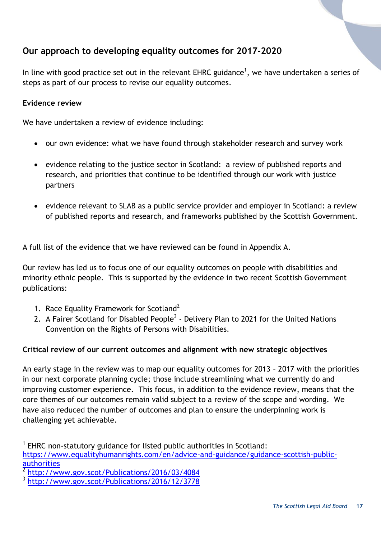# <span id="page-16-0"></span>**Our approach to developing equality outcomes for 2017-2020**

In line with good practice set out in the relevant EHRC guidance<sup>1</sup>, we have undertaken a series of steps as part of our process to revise our equality outcomes.

#### **Evidence review**

We have undertaken a review of evidence including:

- our own evidence: what we have found through stakeholder research and survey work
- evidence relating to the justice sector in Scotland: a review of published reports and research, and priorities that continue to be identified through our work with justice partners
- evidence relevant to SLAB as a public service provider and employer in Scotland: a review of published reports and research, and frameworks published by the Scottish Government.

A full list of the evidence that we have reviewed can be found in Appendix A.

Our review has led us to focus one of our equality outcomes on people with disabilities and minority ethnic people. This is supported by the evidence in two recent Scottish Government publications:

- 1. Race Equality Framework for Scotland<sup>2</sup>
- 2. A Fairer Scotland for Disabled People<sup>3</sup> Delivery Plan to 2021 for the United Nations Convention on the Rights of Persons with Disabilities.

#### **Critical review of our current outcomes and alignment with new strategic objectives**

An early stage in the review was to map our equality outcomes for 2013 – 2017 with the priorities in our next corporate planning cycle; those include streamlining what we currently do and improving customer experience. This focus, in addition to the evidence review, means that the core themes of our outcomes remain valid subject to a review of the scope and wording. We have also reduced the number of outcomes and plan to ensure the underpinning work is challenging yet achievable.

l

<sup>1</sup> EHRC non-statutory guidance for listed public authorities in Scotland: [https://www.equalityhumanrights.com/en/advice-and-guidance/guidance-scottish-public](https://www.equalityhumanrights.com/en/advice-and-guidance/guidance-scottish-public-authorities)[authorities](https://www.equalityhumanrights.com/en/advice-and-guidance/guidance-scottish-public-authorities)

<sup>2</sup> <http://www.gov.scot/Publications/2016/03/4084>

<sup>3</sup> <http://www.gov.scot/Publications/2016/12/3778>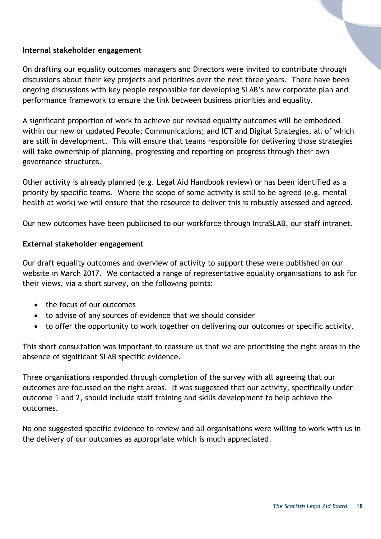#### **Internal stakeholder engagement**

On drafting our equality outcomes managers and Directors were invited to contribute through discussions about their key projects and priorities over the next three years. There have been ongoing discussions with key people responsible for developing SLAB's new corporate plan and performance framework to ensure the link between business priorities and equality.

A significant proportion of work to achieve our revised equality outcomes will be embedded within our new or updated People; Communications; and ICT and Digital Strategies, all of which are still in development. This will ensure that teams responsible for delivering those strategies will take ownership of planning, progressing and reporting on progress through their own governance structures.

Other activity is already planned (e.g. Legal Aid Handbook review) or has been identified as a priority by specific teams. Where the scope of some activity is still to be agreed (e.g. mental health at work) we will ensure that the resource to deliver this is robustly assessed and agreed.

Our new outcomes have been publicised to our workforce through IntraSLAB, our staff intranet.

#### **External stakeholder engagement**

Our draft equality outcomes and overview of activity to support these were published on our website in March 2017. We contacted a range of representative equality organisations to ask for their views, via a short survey, on the following points:

- the focus of our outcomes
- to advise of any sources of evidence that we should consider
- to offer the opportunity to work together on delivering our outcomes or specific activity.

This short consultation was important to reassure us that we are prioritising the right areas in the absence of significant SLAB specific evidence.

Three organisations responded through completion of the survey with all agreeing that our outcomes are focussed on the right areas. It was suggested that our activity, specifically under outcome 1 and 2, should include staff training and skills development to help achieve the outcomes.

No one suggested specific evidence to review and all organisations were willing to work with us in the delivery of our outcomes as appropriate which is much appreciated.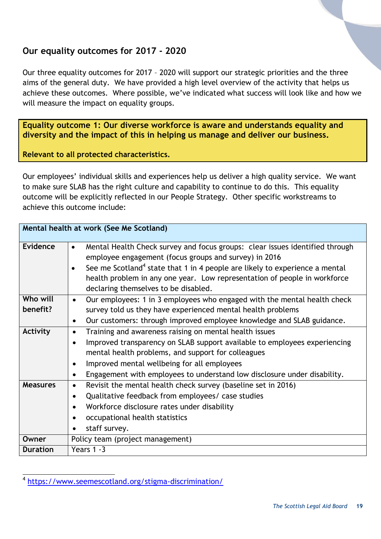## <span id="page-18-0"></span>**Our equality outcomes for 2017 - 2020**

Our three equality outcomes for 2017 – 2020 will support our strategic priorities and the three aims of the general duty. We have provided a high level overview of the activity that helps us achieve these outcomes. Where possible, we've indicated what success will look like and how we will measure the impact on equality groups.

<span id="page-18-1"></span>**Equality outcome 1: Our diverse workforce is aware and understands equality and diversity and the impact of this in helping us manage and deliver our business.**

**Relevant to all protected characteristics.**

Our employees' individual skills and experiences help us deliver a high quality service. We want to make sure SLAB has the right culture and capability to continue to do this. This equality outcome will be explicitly reflected in our People Strategy. Other specific workstreams to achieve this outcome include:

|                      | Mental health at work (See Me Scotland)                                                                                                                                                                                                                                                                                                                                         |
|----------------------|---------------------------------------------------------------------------------------------------------------------------------------------------------------------------------------------------------------------------------------------------------------------------------------------------------------------------------------------------------------------------------|
| <b>Evidence</b>      | Mental Health Check survey and focus groups: clear issues identified through<br>$\bullet$<br>employee engagement (focus groups and survey) in 2016<br>See me Scotland <sup>4</sup> state that 1 in 4 people are likely to experience a mental<br>$\bullet$<br>health problem in any one year. Low representation of people in workforce<br>declaring themselves to be disabled. |
| Who will<br>benefit? | Our employees: 1 in 3 employees who engaged with the mental health check<br>$\bullet$<br>survey told us they have experienced mental health problems                                                                                                                                                                                                                            |
|                      | Our customers: through improved employee knowledge and SLAB guidance.<br>$\bullet$                                                                                                                                                                                                                                                                                              |
| Activity             | Training and awareness raising on mental health issues<br>$\bullet$                                                                                                                                                                                                                                                                                                             |
|                      | Improved transparency on SLAB support available to employees experiencing<br>$\bullet$                                                                                                                                                                                                                                                                                          |
|                      | mental health problems, and support for colleagues                                                                                                                                                                                                                                                                                                                              |
|                      | Improved mental wellbeing for all employees                                                                                                                                                                                                                                                                                                                                     |
|                      | Engagement with employees to understand low disclosure under disability.                                                                                                                                                                                                                                                                                                        |
| <b>Measures</b>      | Revisit the mental health check survey (baseline set in 2016)<br>$\bullet$                                                                                                                                                                                                                                                                                                      |
|                      | Qualitative feedback from employees/ case studies<br>$\bullet$                                                                                                                                                                                                                                                                                                                  |
|                      | Workforce disclosure rates under disability                                                                                                                                                                                                                                                                                                                                     |
|                      | occupational health statistics<br>٠                                                                                                                                                                                                                                                                                                                                             |
|                      | staff survey.                                                                                                                                                                                                                                                                                                                                                                   |
| Owner                | Policy team (project management)                                                                                                                                                                                                                                                                                                                                                |
| <b>Duration</b>      | Years 1 -3                                                                                                                                                                                                                                                                                                                                                                      |

l 4 <https://www.seemescotland.org/stigma-discrimination/>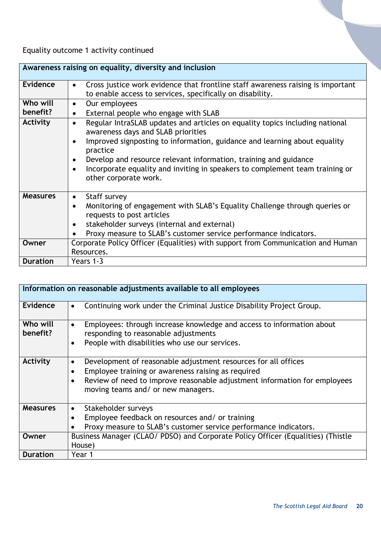Equality outcome 1 activity continued

|                 | Awareness raising on equality, diversity and inclusion                                                                                                    |
|-----------------|-----------------------------------------------------------------------------------------------------------------------------------------------------------|
| Evidence        | Cross justice work evidence that frontline staff awareness raising is important<br>$\bullet$<br>to enable access to services, specifically on disability. |
| Who will        | Our employees<br>$\bullet$                                                                                                                                |
| benefit?        | External people who engage with SLAB<br>$\bullet$                                                                                                         |
| Activity        | Regular IntraSLAB updates and articles on equality topics including national<br>$\bullet$<br>awareness days and SLAB priorities                           |
|                 | Improved signposting to information, guidance and learning about equality<br>practice                                                                     |
|                 | Develop and resource relevant information, training and guidance<br>$\bullet$                                                                             |
|                 | Incorporate equality and inviting in speakers to complement team training or<br>other corporate work.                                                     |
| <b>Measures</b> | Staff survey<br>$\bullet$                                                                                                                                 |
|                 | Monitoring of engagement with SLAB's Equality Challenge through queries or<br>$\bullet$<br>requests to post articles                                      |
|                 | stakeholder surveys (internal and external)<br>$\bullet$                                                                                                  |
|                 | Proxy measure to SLAB's customer service performance indicators.                                                                                          |
| Owner           | Corporate Policy Officer (Equalities) with support from Communication and Human                                                                           |
|                 | Resources.                                                                                                                                                |
| <b>Duration</b> | Years 1-3                                                                                                                                                 |

|                      | Information on reasonable adjustments available to all employees                                                                                                                                                                                                               |
|----------------------|--------------------------------------------------------------------------------------------------------------------------------------------------------------------------------------------------------------------------------------------------------------------------------|
| Evidence             | Continuing work under the Criminal Justice Disability Project Group.<br>$\bullet$                                                                                                                                                                                              |
| Who will<br>benefit? | Employees: through increase knowledge and access to information about<br>$\bullet$<br>responding to reasonable adjustments<br>People with disabilities who use our services.<br>$\bullet$                                                                                      |
| Activity             | Development of reasonable adjustment resources for all offices<br>$\bullet$<br>Employee training or awareness raising as required<br>$\bullet$<br>Review of need to improve reasonable adjustment information for employees<br>$\bullet$<br>moving teams and/ or new managers. |
| <b>Measures</b>      | Stakeholder surveys<br>$\bullet$<br>Employee feedback on resources and/ or training<br>Proxy measure to SLAB's customer service performance indicators.                                                                                                                        |
| Owner                | Business Manager (CLAO/ PDSO) and Corporate Policy Officer (Equalities) (Thistle<br>House)                                                                                                                                                                                     |
| <b>Duration</b>      | Year 1                                                                                                                                                                                                                                                                         |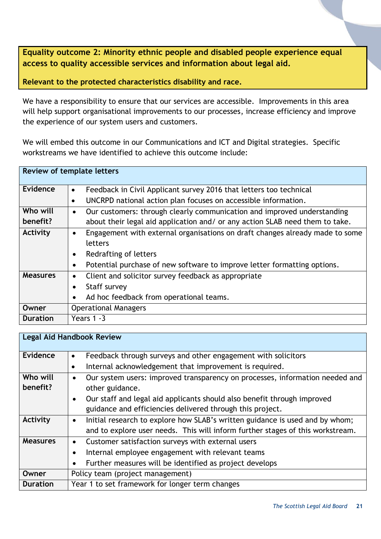<span id="page-20-0"></span>**Equality outcome 2: Minority ethnic people and disabled people experience equal access to quality accessible services and information about legal aid.**

**Relevant to the protected characteristics disability and race.**

We have a responsibility to ensure that our services are accessible. Improvements in this area will help support organisational improvements to our processes, increase efficiency and improve the experience of our system users and customers.

We will embed this outcome in our Communications and ICT and Digital strategies. Specific workstreams we have identified to achieve this outcome include:

|                 | Review of template letters                                                           |
|-----------------|--------------------------------------------------------------------------------------|
| Evidence        | Feedback in Civil Applicant survey 2016 that letters too technical<br>$\bullet$      |
|                 | UNCRPD national action plan focuses on accessible information.<br>$\bullet$          |
| Who will        | Our customers: through clearly communication and improved understanding<br>$\bullet$ |
| benefit?        | about their legal aid application and/ or any action SLAB need them to take.         |
| Activity        | Engagement with external organisations on draft changes already made to some         |
|                 | letters                                                                              |
|                 | Redrafting of letters<br>$\bullet$                                                   |
|                 | Potential purchase of new software to improve letter formatting options.             |
| <b>Measures</b> | Client and solicitor survey feedback as appropriate<br>$\bullet$                     |
|                 | Staff survey                                                                         |
|                 | Ad hoc feedback from operational teams.                                              |
| Owner           | <b>Operational Managers</b>                                                          |
| <b>Duration</b> | Years $1 - 3$                                                                        |

|                 | <b>Legal Aid Handbook Review</b>                                                          |  |  |  |  |  |  |
|-----------------|-------------------------------------------------------------------------------------------|--|--|--|--|--|--|
|                 |                                                                                           |  |  |  |  |  |  |
| Evidence        | Feedback through surveys and other engagement with solicitors<br>$\bullet$                |  |  |  |  |  |  |
|                 | Internal acknowledgement that improvement is required.<br>٠                               |  |  |  |  |  |  |
| Who will        | Our system users: improved transparency on processes, information needed and<br>$\bullet$ |  |  |  |  |  |  |
| benefit?        | other guidance.                                                                           |  |  |  |  |  |  |
|                 | Our staff and legal aid applicants should also benefit through improved<br>$\bullet$      |  |  |  |  |  |  |
|                 | guidance and efficiencies delivered through this project.                                 |  |  |  |  |  |  |
| Activity        | Initial research to explore how SLAB's written guidance is used and by whom;<br>$\bullet$ |  |  |  |  |  |  |
|                 | and to explore user needs. This will inform further stages of this workstream.            |  |  |  |  |  |  |
| <b>Measures</b> | Customer satisfaction surveys with external users<br>$\bullet$                            |  |  |  |  |  |  |
|                 | Internal employee engagement with relevant teams                                          |  |  |  |  |  |  |
|                 | Further measures will be identified as project develops                                   |  |  |  |  |  |  |
| Owner           | Policy team (project management)                                                          |  |  |  |  |  |  |
| <b>Duration</b> | Year 1 to set framework for longer term changes                                           |  |  |  |  |  |  |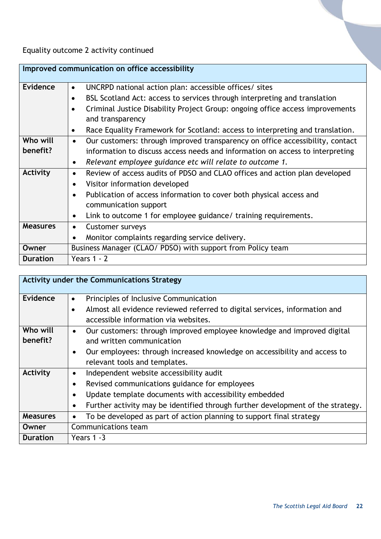Equality outcome 2 activity continued

|                 | Improved communication on office accessibility                                             |
|-----------------|--------------------------------------------------------------------------------------------|
| Evidence        | UNCRPD national action plan: accessible offices/ sites<br>$\bullet$                        |
|                 | BSL Scotland Act: access to services through interpreting and translation<br>$\bullet$     |
|                 | Criminal Justice Disability Project Group: ongoing office access improvements<br>$\bullet$ |
|                 | and transparency                                                                           |
|                 | Race Equality Framework for Scotland: access to interpreting and translation.<br>$\bullet$ |
| Who will        | Our customers: through improved transparency on office accessibility, contact<br>$\bullet$ |
| benefit?        | information to discuss access needs and information on access to interpreting              |
|                 | Relevant employee guidance etc will relate to outcome 1.<br>$\bullet$                      |
| Activity        | Review of access audits of PDSO and CLAO offices and action plan developed<br>$\bullet$    |
|                 | Visitor information developed<br>$\bullet$                                                 |
|                 | Publication of access information to cover both physical access and<br>$\bullet$           |
|                 | communication support                                                                      |
|                 | Link to outcome 1 for employee guidance/ training requirements.<br>$\bullet$               |
| <b>Measures</b> | <b>Customer surveys</b><br>$\bullet$                                                       |
|                 | Monitor complaints regarding service delivery.                                             |
| Owner           | Business Manager (CLAO/ PDSO) with support from Policy team                                |
| <b>Duration</b> | Years $1 - 2$                                                                              |

|                 | <b>Activity under the Communications Strategy</b>                                       |
|-----------------|-----------------------------------------------------------------------------------------|
| Evidence        | Principles of Inclusive Communication<br>$\bullet$                                      |
|                 | Almost all evidence reviewed referred to digital services, information and<br>$\bullet$ |
|                 | accessible information via websites.                                                    |
| Who will        | Our customers: through improved employee knowledge and improved digital<br>$\bullet$    |
| benefit?        | and written communication                                                               |
|                 | Our employees: through increased knowledge on accessibility and access to<br>$\bullet$  |
|                 | relevant tools and templates.                                                           |
| Activity        | Independent website accessibility audit<br>$\bullet$                                    |
|                 | Revised communications guidance for employees<br>$\bullet$                              |
|                 | Update template documents with accessibility embedded                                   |
|                 | Further activity may be identified through further development of the strategy.         |
| <b>Measures</b> | To be developed as part of action planning to support final strategy                    |
| Owner           | Communications team                                                                     |
| <b>Duration</b> | Years 1 -3                                                                              |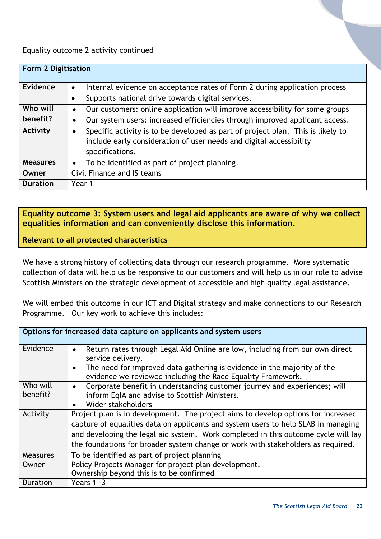Equality outcome 2 activity continued

| <b>Form 2 Digitisation</b> |                                                                                                                                                                                        |
|----------------------------|----------------------------------------------------------------------------------------------------------------------------------------------------------------------------------------|
| Evidence                   | Internal evidence on acceptance rates of Form 2 during application process<br>$\bullet$                                                                                                |
|                            | Supports national drive towards digital services.<br>$\bullet$                                                                                                                         |
| Who will                   | Our customers: online application will improve accessibility for some groups<br>$\bullet$                                                                                              |
| benefit?                   | Our system users: increased efficiencies through improved applicant access.<br>$\bullet$                                                                                               |
| Activity                   | Specific activity is to be developed as part of project plan. This is likely to<br>$\bullet$<br>include early consideration of user needs and digital accessibility<br>specifications. |
| <b>Measures</b>            | To be identified as part of project planning.<br>$\bullet$                                                                                                                             |
| Owner                      | Civil Finance and IS teams                                                                                                                                                             |
| <b>Duration</b>            | Year 1                                                                                                                                                                                 |

<span id="page-22-0"></span>**Equality outcome 3: System users and legal aid applicants are aware of why we collect equalities information and can conveniently disclose this information.**

**Relevant to all protected characteristics**

We have a strong history of collecting data through our research programme. More systematic collection of data will help us be responsive to our customers and will help us in our role to advise Scottish Ministers on the strategic development of accessible and high quality legal assistance.

We will embed this outcome in our ICT and Digital strategy and make connections to our Research Programme. Our key work to achieve this includes:

|                      | Options for increased data capture on applicants and system users                                                                                                                                                                                                                                                                                 |
|----------------------|---------------------------------------------------------------------------------------------------------------------------------------------------------------------------------------------------------------------------------------------------------------------------------------------------------------------------------------------------|
| Evidence             | Return rates through Legal Aid Online are low, including from our own direct<br>$\bullet$<br>service delivery.                                                                                                                                                                                                                                    |
|                      | The need for improved data gathering is evidence in the majority of the<br>$\bullet$<br>evidence we reviewed including the Race Equality Framework.                                                                                                                                                                                               |
| Who will<br>benefit? | Corporate benefit in understanding customer journey and experiences; will<br>$\bullet$<br>inform EqIA and advise to Scottish Ministers.<br>Wider stakeholders<br>$\bullet$                                                                                                                                                                        |
| Activity             | Project plan is in development. The project aims to develop options for increased<br>capture of equalities data on applicants and system users to help SLAB in managing<br>and developing the legal aid system. Work completed in this outcome cycle will lay<br>the foundations for broader system change or work with stakeholders as required. |
| <b>Measures</b>      | To be identified as part of project planning                                                                                                                                                                                                                                                                                                      |
| Owner                | Policy Projects Manager for project plan development.                                                                                                                                                                                                                                                                                             |
|                      | Ownership beyond this is to be confirmed                                                                                                                                                                                                                                                                                                          |
| <b>Duration</b>      | Years 1 -3                                                                                                                                                                                                                                                                                                                                        |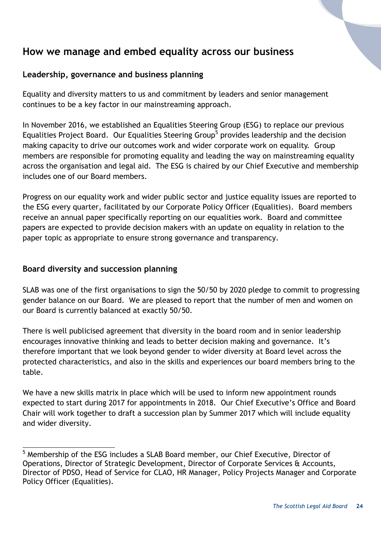# <span id="page-23-0"></span>**How we manage and embed equality across our business**

#### <span id="page-23-1"></span>**Leadership, governance and business planning**

Equality and diversity matters to us and commitment by leaders and senior management continues to be a key factor in our mainstreaming approach.

In November 2016, we established an Equalities Steering Group (ESG) to replace our previous Equalities Project Board. Our Equalities Steering Group<sup>5</sup> provides leadership and the decision making capacity to drive our outcomes work and wider corporate work on equality. Group members are responsible for promoting equality and leading the way on mainstreaming equality across the organisation and legal aid. The ESG is chaired by our Chief Executive and membership includes one of our Board members.

Progress on our equality work and wider public sector and justice equality issues are reported to the ESG every quarter, facilitated by our Corporate Policy Officer (Equalities). Board members receive an annual paper specifically reporting on our equalities work. Board and committee papers are expected to provide decision makers with an update on equality in relation to the paper topic as appropriate to ensure strong governance and transparency.

#### <span id="page-23-2"></span>**Board diversity and succession planning**

SLAB was one of the first organisations to sign the 50/50 by 2020 pledge to commit to progressing gender balance on our Board. We are pleased to report that the number of men and women on our Board is currently balanced at exactly 50/50.

There is well publicised agreement that diversity in the board room and in senior leadership encourages innovative thinking and leads to better decision making and governance. It's therefore important that we look beyond gender to wider diversity at Board level across the protected characteristics, and also in the skills and experiences our board members bring to the table.

We have a new skills matrix in place which will be used to inform new appointment rounds expected to start during 2017 for appointments in 2018. Our Chief Executive's Office and Board Chair will work together to draft a succession plan by Summer 2017 which will include equality and wider diversity.

l <sup>5</sup> Membership of the ESG includes a SLAB Board member, our Chief Executive, Director of Operations, Director of Strategic Development, Director of Corporate Services & Accounts, Director of PDSO, Head of Service for CLAO, HR Manager, Policy Projects Manager and Corporate Policy Officer (Equalities).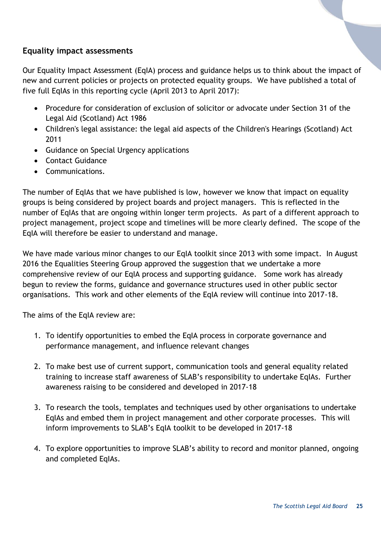#### <span id="page-24-0"></span>**Equality impact assessments**

Our Equality Impact Assessment (EqIA) process and guidance helps us to think about the impact of new and current policies or projects on protected equality groups. We have published a total of five full EqIAs in this reporting cycle (April 2013 to April 2017):

- Procedure for consideration of exclusion of solicitor or advocate under Section 31 of the Legal Aid (Scotland) Act 1986
- Children's legal assistance: the legal aid aspects of the Children's Hearings (Scotland) Act 2011
- Guidance on Special Urgency applications
- Contact Guidance
- Communications.

The number of EqIAs that we have published is low, however we know that impact on equality groups is being considered by project boards and project managers. This is reflected in the number of EqIAs that are ongoing within longer term projects. As part of a different approach to project management, project scope and timelines will be more clearly defined. The scope of the EqIA will therefore be easier to understand and manage.

We have made various minor changes to our EqIA toolkit since 2013 with some impact. In August 2016 the Equalities Steering Group approved the suggestion that we undertake a more comprehensive review of our EqIA process and supporting guidance. Some work has already begun to review the forms, guidance and governance structures used in other public sector organisations. This work and other elements of the EqIA review will continue into 2017-18.

The aims of the EqIA review are:

- 1. To identify opportunities to embed the EqIA process in corporate governance and performance management, and influence relevant changes
- 2. To make best use of current support, communication tools and general equality related training to increase staff awareness of SLAB's responsibility to undertake EqIAs. Further awareness raising to be considered and developed in 2017-18
- 3. To research the tools, templates and techniques used by other organisations to undertake EqIAs and embed them in project management and other corporate processes. This will inform improvements to SLAB's EqIA toolkit to be developed in 2017-18
- 4. To explore opportunities to improve SLAB's ability to record and monitor planned, ongoing and completed EqIAs.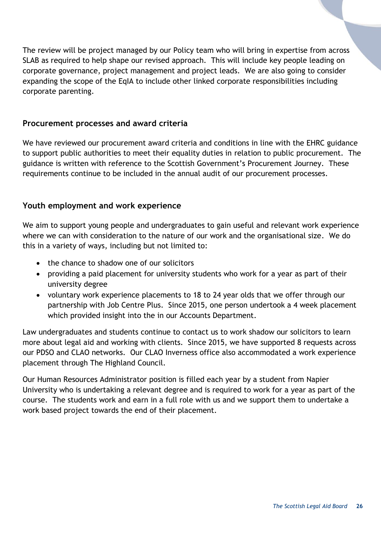The review will be project managed by our Policy team who will bring in expertise from across SLAB as required to help shape our revised approach. This will include key people leading on corporate governance, project management and project leads. We are also going to consider expanding the scope of the EqIA to include other linked corporate responsibilities including corporate parenting.

#### <span id="page-25-0"></span>**Procurement processes and award criteria**

We have reviewed our procurement award criteria and conditions in line with the EHRC guidance to support public authorities to meet their equality duties in relation to public procurement. The guidance is written with reference to the Scottish Government's Procurement Journey. These requirements continue to be included in the annual audit of our procurement processes.

#### <span id="page-25-1"></span>**Youth employment and work experience**

We aim to support young people and undergraduates to gain useful and relevant work experience where we can with consideration to the nature of our work and the organisational size. We do this in a variety of ways, including but not limited to:

- the chance to shadow one of our solicitors
- providing a paid placement for university students who work for a year as part of their university degree
- voluntary work experience placements to 18 to 24 year olds that we offer through our partnership with Job Centre Plus. Since 2015, one person undertook a 4 week placement which provided insight into the in our Accounts Department.

Law undergraduates and students continue to contact us to work shadow our solicitors to learn more about legal aid and working with clients. Since 2015, we have supported 8 requests across our PDSO and CLAO networks. Our CLAO Inverness office also accommodated a work experience placement through The Highland Council.

Our Human Resources Administrator position is filled each year by a student from Napier University who is undertaking a relevant degree and is required to work for a year as part of the course. The students work and earn in a full role with us and we support them to undertake a work based project towards the end of their placement.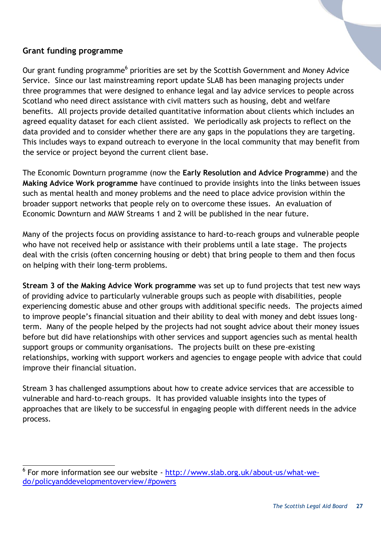#### <span id="page-26-0"></span>**Grant funding programme**

l

Our grant funding programme<sup>6</sup> priorities are set by the Scottish Government and Money Advice Service. Since our last mainstreaming report update SLAB has been managing projects under three programmes that were designed to enhance legal and lay advice services to people across Scotland who need direct assistance with civil matters such as housing, debt and welfare benefits. All projects provide detailed quantitative information about clients which includes an agreed equality dataset for each client assisted. We periodically ask projects to reflect on the data provided and to consider whether there are any gaps in the populations they are targeting. This includes ways to expand outreach to everyone in the local community that may benefit from the service or project beyond the current client base.

The Economic Downturn programme (now the **Early Resolution and Advice Programme**) and the **Making Advice Work programme** have continued to provide insights into the links between issues such as mental health and money problems and the need to place advice provision within the broader support networks that people rely on to overcome these issues. An evaluation of Economic Downturn and MAW Streams 1 and 2 will be published in the near future.

Many of the projects focus on providing assistance to hard-to-reach groups and vulnerable people who have not received help or assistance with their problems until a late stage. The projects deal with the crisis (often concerning housing or debt) that bring people to them and then focus on helping with their long-term problems.

**Stream 3 of the Making Advice Work programme** was set up to fund projects that test new ways of providing advice to particularly vulnerable groups such as people with disabilities, people experiencing domestic abuse and other groups with additional specific needs. The projects aimed to improve people's financial situation and their ability to deal with money and debt issues longterm. Many of the people helped by the projects had not sought advice about their money issues before but did have relationships with other services and support agencies such as mental health support groups or community organisations. The projects built on these pre-existing relationships, working with support workers and agencies to engage people with advice that could improve their financial situation.

Stream 3 has challenged assumptions about how to create advice services that are accessible to vulnerable and hard-to-reach groups. It has provided valuable insights into the types of approaches that are likely to be successful in engaging people with different needs in the advice process.

<sup>&</sup>lt;sup>6</sup> For more information see our website - [http://www.slab.org.uk/about-us/what-we](http://www.slab.org.uk/about-us/what-we-do/policyanddevelopmentoverview/#powers)[do/policyanddevelopmentoverview/#powers](http://www.slab.org.uk/about-us/what-we-do/policyanddevelopmentoverview/#powers)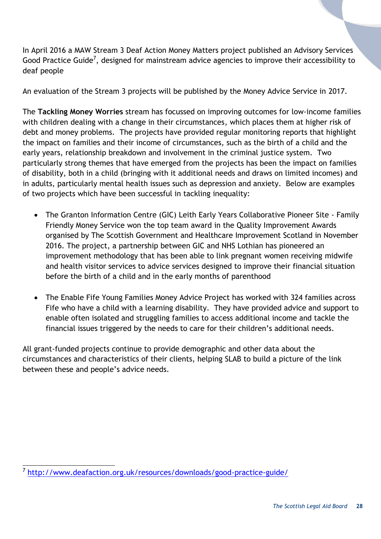In April 2016 a MAW Stream 3 Deaf Action Money Matters project published an Advisory Services Good Practice Guide<sup>7</sup>, designed for mainstream advice agencies to improve their accessibility to deaf people

An evaluation of the Stream 3 projects will be published by the Money Advice Service in 2017.

The **Tackling Money Worries** stream has focussed on improving outcomes for low-income families with children dealing with a change in their circumstances, which places them at higher risk of debt and money problems. The projects have provided regular monitoring reports that highlight the impact on families and their income of circumstances, such as the birth of a child and the early years, relationship breakdown and involvement in the criminal justice system. Two particularly strong themes that have emerged from the projects has been the impact on families of disability, both in a child (bringing with it additional needs and draws on limited incomes) and in adults, particularly mental health issues such as depression and anxiety. Below are examples of two projects which have been successful in tackling inequality:

- The Granton Information Centre (GIC) Leith Early Years Collaborative Pioneer Site Family Friendly Money Service won the top team award in the Quality Improvement Awards organised by The Scottish Government and Healthcare Improvement Scotland in November 2016. The project, a partnership between GIC and NHS Lothian has pioneered an improvement methodology that has been able to link pregnant women receiving midwife and health visitor services to advice services designed to improve their financial situation before the birth of a child and in the early months of parenthood
- The Enable Fife Young Families Money Advice Project has worked with 324 families across Fife who have a child with a learning disability. They have provided advice and support to enable often isolated and struggling families to access additional income and tackle the financial issues triggered by the needs to care for their children's additional needs.

All grant-funded projects continue to provide demographic and other data about the circumstances and characteristics of their clients, helping SLAB to build a picture of the link between these and people's advice needs.

l 7 <http://www.deafaction.org.uk/resources/downloads/good-practice-guide/>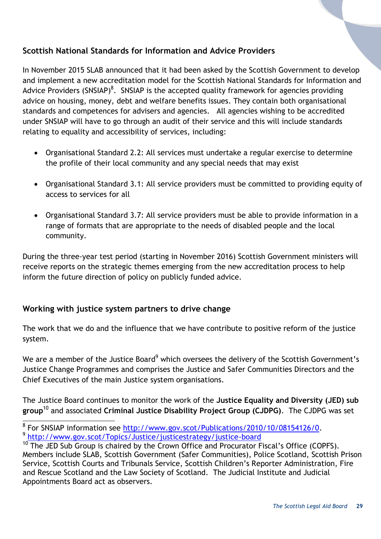#### <span id="page-28-0"></span>**Scottish National Standards for Information and Advice Providers**

In November 2015 SLAB announced that it had been asked by the Scottish Government to develop and implement a new accreditation model for the [Scottish National Standards for Information and](http://www.slab.org.uk/providers/advice/Accreditation_Model.html)  [Advice Providers](http://www.slab.org.uk/providers/advice/Accreditation_Model.html) (SNSIAP)<sup>8</sup>. SNSIAP is the accepted quality framework for agencies providing advice on housing, money, debt and welfare benefits issues. They contain both organisational standards and competences for advisers and agencies. All agencies wishing to be accredited under SNSIAP will have to go through an audit of their service and this will include standards relating to equality and accessibility of services, including:

- Organisational Standard 2.2: All services must undertake a regular exercise to determine the profile of their local community and any special needs that may exist
- Organisational Standard 3.1: All service providers must be committed to providing equity of access to services for all
- Organisational Standard 3.7: All service providers must be able to provide information in a range of formats that are appropriate to the needs of disabled people and the local community.

During the three-year test period (starting in November 2016) Scottish Government ministers will receive reports on the strategic themes emerging from the new accreditation process to help inform the future direction of policy on publicly funded advice.

#### <span id="page-28-1"></span>**Working with justice system partners to drive change**

The work that we do and the influence that we have contribute to positive reform of the justice system.

We are a member of the Justice Board<sup>9</sup> which oversees the delivery of the Scottish Government's Justice Change Programmes and comprises the Justice and Safer Communities Directors and the Chief Executives of the main Justice system organisations.

The Justice Board continues to monitor the work of the **Justice Equality and Diversity (JED) sub group**<sup>10</sup> and associated **Criminal Justice Disability Project Group (CJDPG)**. The CJDPG was set

er also note to the SNSIAP information see [http://www.gov.scot/Publications/2010/10/08154126/0.](http://www.gov.scot/Publications/2010/10/08154126/0) 9 <http://www.gov.scot/Topics/Justice/justicestrategy/justice-board>

<sup>&</sup>lt;sup>10</sup> The JED Sub Group is chaired by the Crown Office and Procurator Fiscal's Office (COPFS). Members include SLAB, Scottish Government (Safer Communities), Police Scotland, Scottish Prison Service, Scottish Courts and Tribunals Service, Scottish Children's Reporter Administration, Fire and Rescue Scotland and the Law Society of Scotland. The Judicial Institute and Judicial Appointments Board act as observers.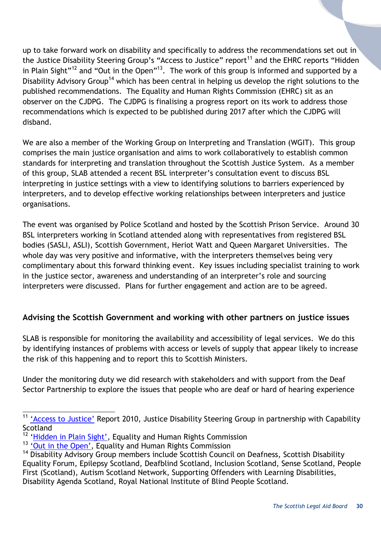up to take forward work on disability and specifically to address the recommendations set out in the Justice Disability Steering Group's "Access to Justice" report<sup>11</sup> and the EHRC reports "Hidden in Plain Sight"<sup>12</sup> and "Out in the Open"<sup>13</sup>. The work of this group is informed and supported by a Disability Advisory Group<sup>14</sup> which has been central in helping us develop the right solutions to the published recommendations. The Equality and Human Rights Commission (EHRC) sit as an observer on the CJDPG. The CJDPG is finalising a progress report on its work to address those recommendations which is expected to be published during 2017 after which the CJDPG will disband.

We are also a member of the Working Group on Interpreting and Translation (WGIT). This group comprises the main justice organisation and aims to work collaboratively to establish common standards for interpreting and translation throughout the Scottish Justice System. As a member of this group, SLAB attended a recent BSL interpreter's consultation event to discuss BSL interpreting in justice settings with a view to identifying solutions to barriers experienced by interpreters, and to develop effective working relationships between interpreters and justice organisations.

The event was organised by Police Scotland and hosted by the Scottish Prison Service. Around 30 BSL interpreters working in Scotland attended along with representatives from registered BSL bodies (SASLI, ASLI), Scottish Government, Heriot Watt and Queen Margaret Universities. The whole day was very positive and informative, with the interpreters themselves being very complimentary about this forward thinking event. Key issues including specialist training to work in the justice sector, awareness and understanding of an interpreter's role and sourcing interpreters were discussed. Plans for further engagement and action are to be agreed.

# <span id="page-29-0"></span>**Advising the Scottish Government and working with other partners on justice issues**

SLAB is responsible for monitoring the availability and accessibility of legal services. We do this by identifying instances of problems with access or levels of supply that appear likely to increase the risk of this happening and to report this to Scottish Ministers.

Under the monitoring duty we did research with stakeholders and with support from the Deaf Sector Partnership to explore the issues that people who are deaf or hard of hearing experience

l

<sup>&</sup>lt;sup>11</sup> ['Access to Justice'](http://www.google.co.uk/url?sa=t&rct=j&q=&esrc=s&source=web&cd=1&ved=0CCEQFjAA&url=http%3A%2F%2Fwww.capability-scotland.org.uk%2Fmedia%2F63459%2Fjdsg_final_report_rh_21898_26908.pdf&ei=NboBVZTjKor1UKXrg8AH&usg=AFQjCNG4IDd3ysIeQeqaft43B3YbEdJyHw&bvm=bv.87920726,d.d24&cad=rja) Report 2010, Justice Disability Steering Group in partnership with Capability **Scotland** 

<sup>&</sup>lt;sup>12</sup> ['Hidden in Plain Sight'](http://www.equalityhumanrights.com/legal-and-policy/our-legal-work/inquiries-and-assessments/inquiry-disability-related-harassment/download-inquiry-report), Equality and Human Rights Commission

<sup>&</sup>lt;sup>13</sup> ['Out in the Open'](http://www.google.co.uk/url?sa=t&rct=j&q=&esrc=s&source=web&cd=2&ved=0CCwQFjAB&url=http%3A%2F%2Fwww.equalityhumanrights.com%2Fsites%2Fdefault%2Ffiles%2Fdocuments%2Fdisabilityfi%2Fout_in_the_open_dhi_manifesto.pdf&ei=NLwBVav4Gsa2Uc62hLgG&usg=AFQjCNHrqyT5k2fDHAAJxL8JlGqPJuJTbA&bvm=bv.87920726,d.d24&cad=rja), Equality and Human Rights Commission

<sup>&</sup>lt;sup>14</sup> Disability Advisory Group members include Scottish Council on Deafness, Scottish Disability Equality Forum, Epilepsy Scotland, Deafblind Scotland, Inclusion Scotland, Sense Scotland, People First (Scotland), Autism Scotland Network, Supporting Offenders with Learning Disabilities, Disability Agenda Scotland, Royal National Institute of Blind People Scotland.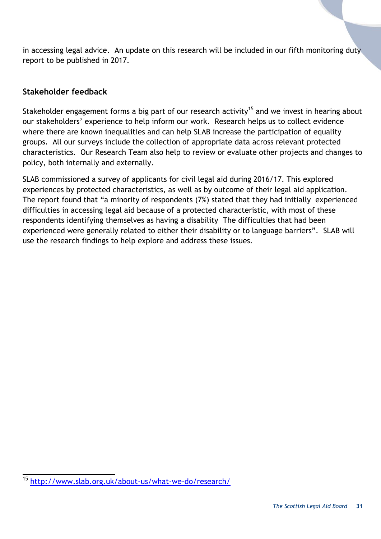in accessing legal advice. An update on this research will be included in our fifth monitoring duty report to be published in 2017.

#### <span id="page-30-0"></span>**Stakeholder feedback**

Stakeholder engagement forms a big part of our research activity<sup>15</sup> and we invest in hearing about our stakeholders' experience to help inform our work. Research helps us to collect evidence where there are known inequalities and can help SLAB increase the participation of equality groups. All our surveys include the collection of appropriate data across relevant protected characteristics. Our Research Team also help to review or evaluate other projects and changes to policy, both internally and externally.

SLAB commissioned a survey of applicants for civil legal aid during 2016/17. This explored experiences by protected characteristics, as well as by outcome of their legal aid application. The report found that "a minority of respondents (7%) stated that they had initially experienced difficulties in accessing legal aid because of a protected characteristic, with most of these respondents identifying themselves as having a disability The difficulties that had been experienced were generally related to either their disability or to language barriers". SLAB will use the research findings to help explore and address these issues.

 $15$ <sup>15</sup> <http://www.slab.org.uk/about-us/what-we-do/research/>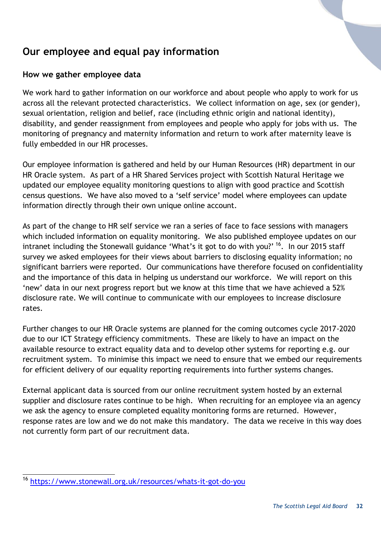# <span id="page-31-0"></span>**Our employee and equal pay information**

### <span id="page-31-1"></span>**How we gather employee data**

We work hard to gather information on our workforce and about people who apply to work for us across all the relevant protected characteristics. We collect information on age, sex (or gender), sexual orientation, religion and belief, race (including ethnic origin and national identity), disability, and gender reassignment from employees and people who apply for jobs with us. The monitoring of pregnancy and maternity information and return to work after maternity leave is fully embedded in our HR processes.

Our employee information is gathered and held by our Human Resources (HR) department in our HR Oracle system. As part of a HR Shared Services project with Scottish Natural Heritage we updated our employee equality monitoring questions to align with good practice and Scottish census questions. We have also moved to a 'self service' model where employees can update information directly through their own unique online account.

As part of the change to HR self service we ran a series of face to face sessions with managers which included information on equality monitoring. We also published employee updates on our intranet including the Stonewall guidance 'What's it got to do with you?' <sup>16</sup>. In our 2015 staff survey we asked employees for their views about barriers to disclosing equality information; no significant barriers were reported. Our communications have therefore focused on confidentiality and the importance of this data in helping us understand our workforce. We will report on this 'new' data in our next progress report but we know at this time that we have achieved a 52% disclosure rate. We will continue to communicate with our employees to increase disclosure rates.

Further changes to our HR Oracle systems are planned for the coming outcomes cycle 2017-2020 due to our ICT Strategy efficiency commitments. These are likely to have an impact on the available resource to extract equality data and to develop other systems for reporting e.g. our recruitment system. To minimise this impact we need to ensure that we embed our requirements for efficient delivery of our equality reporting requirements into further systems changes.

External applicant data is sourced from our online recruitment system hosted by an external supplier and disclosure rates continue to be high. When recruiting for an employee via an agency we ask the agency to ensure completed equality monitoring forms are returned. However, response rates are low and we do not make this mandatory. The data we receive in this way does not currently form part of our recruitment data.

<span id="page-31-2"></span><sup>16</sup> <sup>16</sup> <https://www.stonewall.org.uk/resources/whats-it-got-do-you>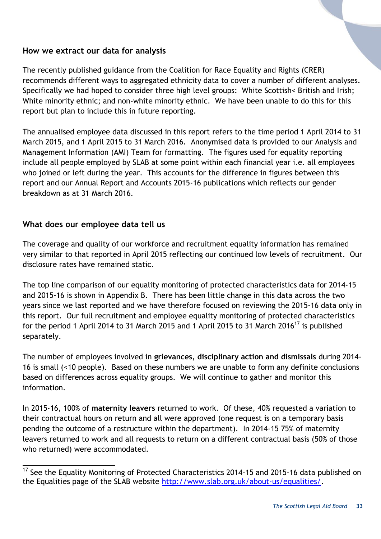#### **How we extract our data for analysis**

The recently published guidance from the Coalition for Race Equality and Rights (CRER) recommends different ways to aggregated ethnicity data to cover a number of different analyses. Specifically we had hoped to consider three high level groups: White Scottish< British and Irish; White minority ethnic; and non-white minority ethnic. We have been unable to do this for this report but plan to include this in future reporting.

The annualised employee data discussed in this report refers to the time period 1 April 2014 to 31 March 2015, and 1 April 2015 to 31 March 2016. Anonymised data is provided to our Analysis and Management Information (AMI) Team for formatting. The figures used for equality reporting include all people employed by SLAB at some point within each financial year i.e. all employees who joined or left during the year. This accounts for the difference in figures between this report and our Annual Report and Accounts 2015-16 publications which reflects our gender breakdown as at 31 March 2016.

#### <span id="page-32-0"></span>**What does our employee data tell us**

l

The coverage and quality of our workforce and recruitment equality information has remained very similar to that reported in April 2015 reflecting our continued low levels of recruitment. Our disclosure rates have remained static.

The top line comparison of our equality monitoring of protected characteristics data for 2014-15 and 2015-16 is shown in Appendix B. There has been little change in this data across the two years since we last reported and we have therefore focused on reviewing the 2015-16 data only in this report. Our full recruitment and employee equality monitoring of protected characteristics for the period 1 April 2014 to 31 March 2015 and 1 April 2015 to 31 March 2016<sup>17</sup> is published separately.

The number of employees involved in **grievances, disciplinary action and dismissals** during 2014- 16 is small (<10 people). Based on these numbers we are unable to form any definite conclusions based on differences across equality groups. We will continue to gather and monitor this information.

In 2015-16, 100% of **maternity leavers** returned to work. Of these, 40% requested a variation to their contractual hours on return and all were approved (one request is on a temporary basis pending the outcome of a restructure within the department). In 2014-15 75% of maternity leavers returned to work and all requests to return on a different contractual basis (50% of those who returned) were accommodated.

 $17$  See the Equality Monitoring of Protected Characteristics 2014-15 and 2015-16 data published on the Equalities page of the SLAB website [http://www.slab.org.uk/about-us/equalities/.](http://www.slab.org.uk/about-us/equalities/)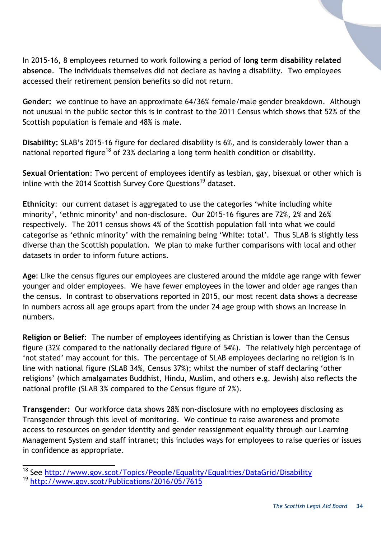In 2015-16, 8 employees returned to work following a period of **long term disability related absence**. The individuals themselves did not declare as having a disability. Two employees accessed their retirement pension benefits so did not return.

**Gender:** we continue to have an approximate 64/36% female/male gender breakdown. Although not unusual in the public sector this is in contrast to the 2011 Census which shows that 52% of the Scottish population is female and 48% is male.

**Disability:** SLAB's 2015-16 figure for declared disability is 6%, and is considerably lower than a national reported figure<sup>18</sup> of 23% declaring a long term health condition or disability.

**Sexual Orientation**: Two percent of employees identify as lesbian, gay, bisexual or other which is inline with the 2014 Scottish Survey Core Questions<sup>19</sup> dataset.

**Ethnicity**: our current dataset is aggregated to use the categories 'white including white minority', 'ethnic minority' and non-disclosure. Our 2015-16 figures are 72%, 2% and 26% respectively. The 2011 census shows 4% of the Scottish population fall into what we could categorise as 'ethnic minority' with the remaining being 'White: total'. Thus SLAB is slightly less diverse than the Scottish population. We plan to make further comparisons with local and other datasets in order to inform future actions.

**Age**: Like the census figures our employees are clustered around the middle age range with fewer younger and older employees. We have fewer employees in the lower and older age ranges than the census. In contrast to observations reported in 2015, our most recent data shows a decrease in numbers across all age groups apart from the under 24 age group with shows an increase in numbers.

**Religion or Belief**: The number of employees identifying as Christian is lower than the Census figure (32% compared to the nationally declared figure of 54%). The relatively high percentage of 'not stated' may account for this. The percentage of SLAB employees declaring no religion is in line with national figure (SLAB 34%, Census 37%); whilst the number of staff declaring 'other religions' (which amalgamates Buddhist, Hindu, Muslim, and others e.g. Jewish) also reflects the national profile (SLAB 3% compared to the Census figure of 2%).

**Transgender:** Our workforce data shows 28% non-disclosure with no employees disclosing as Transgender through this level of monitoring. We continue to raise awareness and promote access to resources on gender identity and gender reassignment equality through our Learning Management System and staff intranet; this includes ways for employees to raise queries or issues in confidence as appropriate.

<span id="page-33-0"></span>l <sup>18</sup> See http://www.gov.scot/Topics/People/Equality/Equalities/DataGrid/Disability <sup>19</sup> <http://www.gov.scot/Publications/2016/05/7615>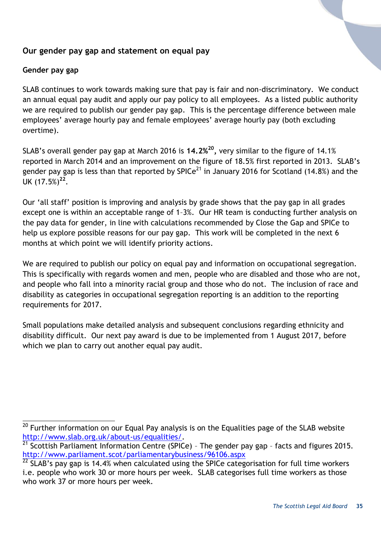#### **Our gender pay gap and statement on equal pay**

#### **Gender pay gap**

SLAB continues to work towards making sure that pay is fair and non-discriminatory. We conduct an annual equal pay audit and apply our pay policy to all employees. As a listed public authority we are required to publish our gender pay gap. This is the percentage difference between male employees' average hourly pay and female employees' average hourly pay (both excluding overtime).

SLAB's overall gender pay gap at March 2016 is **14.2%<sup>20</sup> ,** very similar to the figure of 14.1% reported in March 2014 and an improvement on the figure of 18.5% first reported in 2013. SLAB's gender pay gap is less than that reported by SPICe<sup>21</sup> in January 2016 for Scotland (14.8%) and the UK (17.5%)**<sup>22</sup>** .

Our 'all staff' position is improving and analysis by grade shows that the pay gap in all grades except one is within an acceptable range of 1–3%. Our HR team is conducting further analysis on the pay data for gender, in line with calculations recommended by Close the Gap and SPICe to help us explore possible reasons for our pay gap. This work will be completed in the next 6 months at which point we will identify priority actions.

We are required to publish our policy on equal pay and information on occupational segregation. This is specifically with regards women and men, people who are disabled and those who are not, and people who fall into a minority racial group and those who do not. The inclusion of race and disability as categories in occupational segregation reporting is an addition to the reporting requirements for 2017.

Small populations make detailed analysis and subsequent conclusions regarding ethnicity and disability difficult. Our next pay award is due to be implemented from 1 August 2017, before which we plan to carry out another equal pay audit.

l  $^{20}$  Further information on our Equal Pay analysis is on the Equalities page of the SLAB website [http://www.slab.org.uk/about-us/equalities/.](http://www.slab.org.uk/about-us/equalities/)

 $21$  Scottish Parliament Information Centre (SPICe) - The gender pay gap - facts and figures 2015. <http://www.parliament.scot/parliamentarybusiness/96106.aspx>

 $22$  SLAB's pay gap is 14.4% when calculated using the SPICe categorisation for full time workers i.e. people who work 30 or more hours per week. SLAB categorises full time workers as those who work 37 or more hours per week.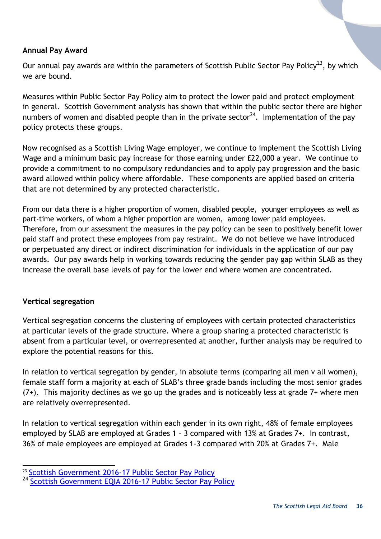#### **Annual Pay Award**

Our annual pay awards are within the parameters of Scottish Public Sector Pay Policy<sup>23</sup>, by which we are bound.

Measures within Public Sector Pay Policy aim to protect the lower paid and protect employment in general. Scottish Government analysis has shown that within the public sector there are higher numbers of women and disabled people than in the private sector<sup>24</sup>. Implementation of the pay policy protects these groups.

Now recognised as a Scottish Living Wage employer, we continue to implement the Scottish Living Wage and a minimum basic pay increase for those earning under £22,000 a year. We continue to provide a commitment to no compulsory redundancies and to apply pay progression and the basic award allowed within policy where affordable. These components are applied based on criteria that are not determined by any protected characteristic.

From our data there is a higher proportion of women, disabled people, younger employees as well as part-time workers, of whom a higher proportion are women, among lower paid employees. Therefore, from our assessment the measures in the pay policy can be seen to positively benefit lower paid staff and protect these employees from pay restraint. We do not believe we have introduced or perpetuated any direct or indirect discrimination for individuals in the application of our pay awards. Our pay awards help in working towards reducing the gender pay gap within SLAB as they increase the overall base levels of pay for the lower end where women are concentrated.

#### **Vertical segregation**

l

Vertical segregation concerns the clustering of employees with certain protected characteristics at particular levels of the grade structure. Where a group sharing a protected characteristic is absent from a particular level, or overrepresented at another, further analysis may be required to explore the potential reasons for this.

In relation to vertical segregation by gender, in absolute terms (comparing all men v all women), female staff form a majority at each of SLAB's three grade bands including the most senior grades  $(7+)$ . This majority declines as we go up the grades and is noticeably less at grade  $7+$  where men are relatively overrepresented.

In relation to vertical segregation within each gender in its own right, 48% of female employees employed by SLAB are employed at Grades 1 – 3 compared with 13% at Grades 7+. In contrast, 36% of male employees are employed at Grades 1-3 compared with 20% at Grades 7+. Male

<sup>&</sup>lt;sup>23</sup> [Scottish Government 2016-17 Public Sector Pay Policy](http://www.gov.scot/Topics/Government/public-sector-pay/additionalinfo)

<sup>24</sup> [Scottish Government EQIA 2016-17 Public Sector Pay Policy](http://www.gov.scot/Topics/Government/public-sector-pay/additionalinfo)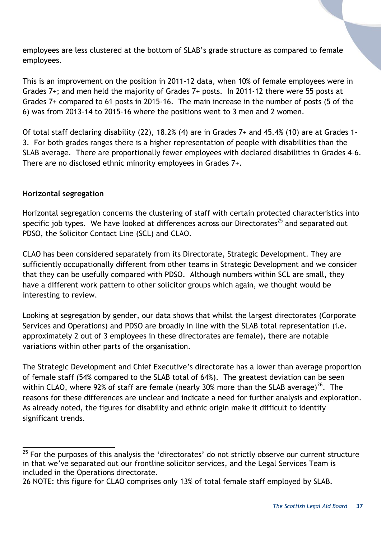employees are less clustered at the bottom of SLAB's grade structure as compared to female employees.

This is an improvement on the position in 2011-12 data, when 10% of female employees were in Grades 7+; and men held the majority of Grades 7+ posts. In 2011-12 there were 55 posts at Grades 7+ compared to 61 posts in 2015-16. The main increase in the number of posts (5 of the 6) was from 2013-14 to 2015-16 where the positions went to 3 men and 2 women.

Of total staff declaring disability (22), 18.2% (4) are in Grades 7+ and 45.4% (10) are at Grades 1- 3. For both grades ranges there is a higher representation of people with disabilities than the SLAB average. There are proportionally fewer employees with declared disabilities in Grades 4–6. There are no disclosed ethnic minority employees in Grades 7+.

#### **Horizontal segregation**

l

Horizontal segregation concerns the clustering of staff with certain protected characteristics into specific job types. We have looked at differences across our Directorates<sup>25</sup> and separated out PDSO, the Solicitor Contact Line (SCL) and CLAO.

CLAO has been considered separately from its Directorate, Strategic Development. They are sufficiently occupationally different from other teams in Strategic Development and we consider that they can be usefully compared with PDSO. Although numbers within SCL are small, they have a different work pattern to other solicitor groups which again, we thought would be interesting to review.

Looking at segregation by gender, our data shows that whilst the largest directorates (Corporate Services and Operations) and PDSO are broadly in line with the SLAB total representation (i.e. approximately 2 out of 3 employees in these directorates are female), there are notable variations within other parts of the organisation.

The Strategic Development and Chief Executive's directorate has a lower than average proportion of female staff (54% compared to the SLAB total of 64%). The greatest deviation can be seen within CLAO, where 92% of staff are female (nearly 30% more than the SLAB average)<sup>26</sup>. The reasons for these differences are unclear and indicate a need for further analysis and exploration. As already noted, the figures for disability and ethnic origin make it difficult to identify significant trends.

 $25$  For the purposes of this analysis the 'directorates' do not strictly observe our current structure in that we've separated out our frontline solicitor services, and the Legal Services Team is included in the Operations directorate.

<sup>26</sup> NOTE: this figure for CLAO comprises only 13% of total female staff employed by SLAB.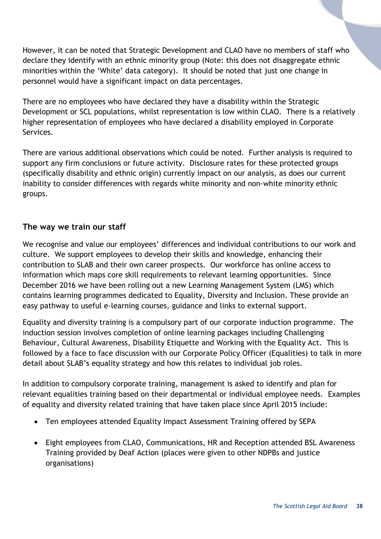However, it can be noted that Strategic Development and CLAO have no members of staff who declare they identify with an ethnic minority group (Note: this does not disaggregate ethnic minorities within the 'White' data category). It should be noted that just one change in personnel would have a significant impact on data percentages.

There are no employees who have declared they have a disability within the Strategic Development or SCL populations, whilst representation is low within CLAO. There is a relatively higher representation of employees who have declared a disability employed in Corporate Services.

There are various additional observations which could be noted. Further analysis is required to support any firm conclusions or future activity. Disclosure rates for these protected groups (specifically disability and ethnic origin) currently impact on our analysis, as does our current inability to consider differences with regards white minority and non-white minority ethnic groups.

#### <span id="page-37-0"></span>**The way we train our staff**

We recognise and value our employees' differences and individual contributions to our work and culture. We support employees to develop their skills and knowledge, enhancing their contribution to SLAB and their own career prospects. Our workforce has online access to information which maps core skill requirements to relevant learning opportunities. Since December 2016 we have been rolling out a new Learning Management System (LMS) which contains learning programmes dedicated to Equality, Diversity and Inclusion. These provide an easy pathway to useful e-learning courses, guidance and links to external support.

Equality and diversity training is a compulsory part of our corporate induction programme. The induction session involves completion of online learning packages including Challenging Behaviour, Cultural Awareness, Disability Etiquette and Working with the Equality Act. This is followed by a face to face discussion with our Corporate Policy Officer (Equalities) to talk in more detail about SLAB's equality strategy and how this relates to individual job roles.

In addition to compulsory corporate training, management is asked to identify and plan for relevant equalities training based on their departmental or individual employee needs. Examples of equality and diversity related training that have taken place since April 2015 include:

- Ten employees attended Equality Impact Assessment Training offered by SEPA
- Eight employees from CLAO, Communications, HR and Reception attended BSL Awareness Training provided by Deaf Action (places were given to other NDPBs and justice organisations)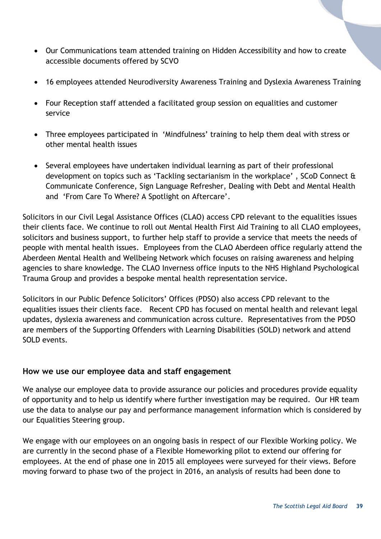- Our Communications team attended training on Hidden Accessibility and how to create accessible documents offered by SCVO
- 16 employees attended Neurodiversity Awareness Training and Dyslexia Awareness Training
- Four Reception staff attended a facilitated group session on equalities and customer service
- Three employees participated in 'Mindfulness' training to help them deal with stress or other mental health issues
- Several employees have undertaken individual learning as part of their professional development on topics such as 'Tackling sectarianism in the workplace' , SCoD Connect & Communicate Conference, Sign Language Refresher, Dealing with Debt and Mental Health and 'From Care To Where? A Spotlight on Aftercare'.

Solicitors in our Civil Legal Assistance Offices (CLAO) access CPD relevant to the equalities issues their clients face. We continue to roll out Mental Health First Aid Training to all CLAO employees, solicitors and business support, to further help staff to provide a service that meets the needs of people with mental health issues. Employees from the CLAO Aberdeen office regularly attend the Aberdeen Mental Health and Wellbeing Network which focuses on raising awareness and helping agencies to share knowledge. The CLAO Inverness office inputs to the NHS Highland Psychological Trauma Group and provides a bespoke mental health representation service.

Solicitors in our Public Defence Solicitors' Offices (PDSO) also access CPD relevant to the equalities issues their clients face. Recent CPD has focused on mental health and relevant legal updates, dyslexia awareness and communication across culture. Representatives from the PDSO are members of the Supporting Offenders with Learning Disabilities (SOLD) network and attend SOLD events.

#### <span id="page-38-0"></span>**How we use our employee data and staff engagement**

We analyse our employee data to provide assurance our policies and procedures provide equality of opportunity and to help us identify where further investigation may be required. Our HR team use the data to analyse our pay and performance management information which is considered by our Equalities Steering group.

We engage with our employees on an ongoing basis in respect of our Flexible Working policy. We are currently in the second phase of a Flexible Homeworking pilot to extend our offering for employees. At the end of phase one in 2015 all employees were surveyed for their views. Before moving forward to phase two of the project in 2016, an analysis of results had been done to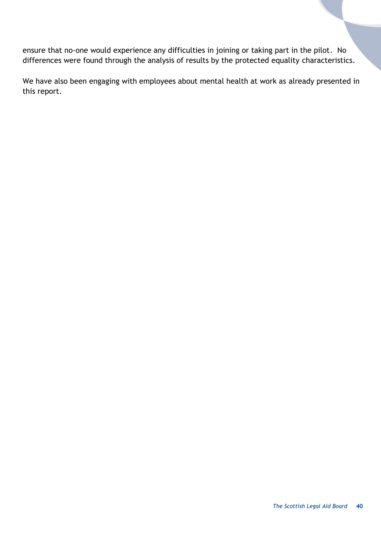ensure that no-one would experience any difficulties in joining or taking part in the pilot. No differences were found through the analysis of results by the protected equality characteristics.

<span id="page-39-0"></span>We have also been engaging with employees about mental health at work as already presented in this report.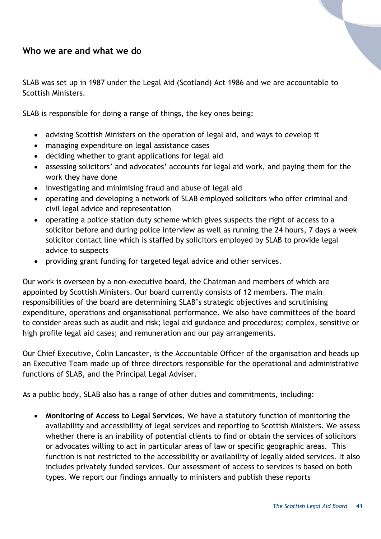#### **Who we are and what we do**

SLAB was set up in 1987 under the Legal Aid (Scotland) Act 1986 and we are accountable to Scottish Ministers.

SLAB is responsible for doing a range of things, the key ones being:

- advising Scottish Ministers on the operation of legal aid, and ways to develop it
- managing expenditure on legal assistance cases
- deciding whether to grant applications for legal aid
- assessing solicitors' and advocates' accounts for legal aid work, and paying them for the work they have done
- investigating and minimising fraud and abuse of legal aid
- operating and developing a network of SLAB employed solicitors who offer criminal and civil legal advice and representation
- operating a police station duty scheme which gives suspects the right of access to a solicitor before and during police interview as well as running the 24 hours, 7 days a week solicitor contact line which is staffed by solicitors employed by SLAB to provide legal advice to suspects
- providing grant funding for targeted legal advice and other services.

Our work is overseen by a non-executive board, the Chairman and members of which are appointed by Scottish Ministers. Our board currently consists of 12 members. The main responsibilities of the board are determining SLAB's strategic objectives and scrutinising expenditure, operations and organisational performance. We also have committees of the board to consider areas such as audit and risk; legal aid guidance and procedures; complex, sensitive or high profile legal aid cases; and remuneration and our pay arrangements.

Our Chief Executive, Colin Lancaster, is the Accountable Officer of the organisation and heads up an Executive Team made up of three directors responsible for the operational and administrative functions of SLAB, and the Principal Legal Adviser.

As a public body, SLAB also has a range of other duties and commitments, including:

 **Monitoring of Access to Legal Services.** We have a statutory function of monitoring the availability and accessibility of legal services and reporting to Scottish Ministers. We assess whether there is an inability of potential clients to find or obtain the services of solicitors or advocates willing to act in particular areas of law or specific geographic areas. This function is not restricted to the accessibility or availability of legally aided services. It also includes privately funded services. Our assessment of access to services is based on both types. We report our findings annually to ministers and publish these reports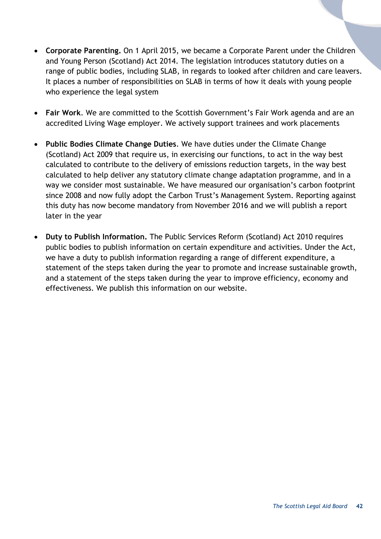- **Corporate Parenting.** On 1 April 2015, we became a Corporate Parent under the Children and Young Person (Scotland) Act 2014. The legislation introduces statutory duties on a range of public bodies, including SLAB, in regards to looked after children and care leavers. It places a number of responsibilities on SLAB in terms of how it deals with young people who experience the legal system
- **Fair Work**. We are committed to the Scottish Government's Fair Work agenda and are an accredited Living Wage employer. We actively support trainees and work placements
- **Public Bodies Climate Change Duties**. We have duties under the Climate Change (Scotland) Act 2009 that require us, in exercising our functions, to act in the way best calculated to contribute to the delivery of emissions reduction targets, in the way best calculated to help deliver any statutory climate change adaptation programme, and in a way we consider most sustainable. We have measured our organisation's carbon footprint since 2008 and now fully adopt the Carbon Trust's Management System. Reporting against this duty has now become mandatory from November 2016 and we will publish a report later in the year
- **Duty to Publish Information.** The Public Services Reform (Scotland) Act 2010 requires public bodies to publish information on certain expenditure and activities. Under the Act, we have a duty to publish information regarding a range of different expenditure, a statement of the steps taken during the year to promote and increase sustainable growth, and a statement of the steps taken during the year to improve efficiency, economy and effectiveness. We publish this information on our website.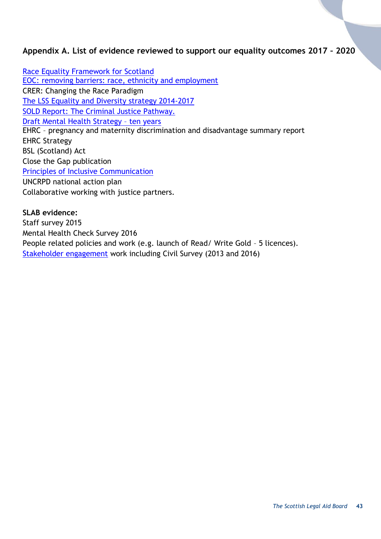#### <span id="page-42-0"></span>**Appendix A. List of evidence reviewed to support our equality outcomes 2017 – 2020**

[Race Equality Framework for Scotland](file://///cifssata/Common/Common/Policy/Equalities/Biannual%20reports/April%202017/Evidence%20file/Race%20Equality%20Framework%20for%20Scotland%202016%20-%202030.pdf) [EOC: removing barriers: race, ethnicity and employment](http://www.parliament.scot/parliamentarybusiness/CurrentCommittees/96080.aspx#c) CRER: Changing the Race Paradigm [The LSS Equality and Diversity strategy 2014-2017](file://///cifssata/Common/Common/Policy/Equalities/Biannual%20reports/April%202017/Evidence%20file/LSS%20Equality-Diversity-Strategy-2014-17.pdf) [SOLD Report: The Criminal Justice Pathway.](file://///cifssata/Common/Common/Policy/Equalities/Biannual%20reports/April%202017/Evidence%20file/SOLD%20CJPathway%20challenges%20and%20opportunities%20for%20improvements.pdf) [Draft Mental Health Strategy](https://consult.scotland.gov.uk/mental-health-unit/mental-health-in-scotland-a-10-year-vision) – ten years EHRC – pregnancy and maternity discrimination and disadvantage summary report EHRC Strategy BSL (Scotland) Act Close the Gap publication [Principles of Inclusive Communication](file://///cifssata/Common/Common/Shared/Equalities/Equality%20information/The%20different%20equality%20groups/All%20groups_Equalities%20&%20Society%20&%20Justice/Principles%20of%20Inclusive%20Communication.pdf) UNCRPD national action plan Collaborative working with justice partners.

**SLAB evidence:** Staff survey 2015 Mental Health Check Survey 2016 People related policies and work (e.g. launch of Read/ Write Gold – 5 licences). [Stakeholder engagement](http://www.slab.org.uk/about-us/what-we-do/research/stakeholder/) work including Civil Survey (2013 and 2016)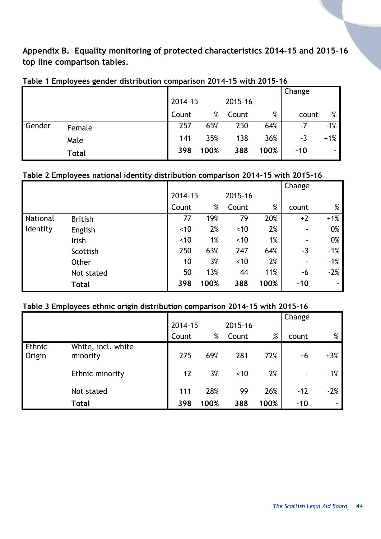<span id="page-43-0"></span>**Appendix B. Equality monitoring of protected characteristics 2014-15 and 2015-16 top line comparison tables.**

|        | -            |         |      |         |      | Change |        |
|--------|--------------|---------|------|---------|------|--------|--------|
|        |              | 2014-15 |      | 2015-16 |      |        |        |
|        |              | Count   | $\%$ | Count   | %    | count  | %      |
| Gender | Female       | 257     | 65%  | 250     | 64%  | $-7$   | $-1%$  |
|        | Male         | 141     | 35%  | 138     | 36%  | -3     | $+1\%$ |
|        | <b>Total</b> | 398     | 100% | 388     | 100% | $-10$  | ۰.     |

#### **Table 1 Employees gender distribution comparison 2014-15 with 2015-16**

#### **Table 2 Employees national identity distribution comparison 2014-15 with 2015-16**

|          |                |         |      |         |      | Change         |       |
|----------|----------------|---------|------|---------|------|----------------|-------|
|          |                | 2014-15 |      | 2015-16 |      |                |       |
|          |                | Count   | %    | Count   | %    | count          | %     |
| National | <b>British</b> | 77      | 19%  | 79      | 20%  | $+2$           | $+1%$ |
| Identity | English        | ~10     | 2%   | ~10     | 2%   | ۰.             | 0%    |
|          | Irish          | ~10     | 1%   | ~10     | 1%   | ٠              | 0%    |
|          | Scottish       | 250     | 63%  | 247     | 64%  | $-3$           | $-1%$ |
|          | Other          | 10      | 3%   | ~10     | 2%   | $\blacksquare$ | $-1%$ |
|          | Not stated     | 50      | 13%  | 44      | 11%  | -6             | $-2%$ |
|          | <b>Total</b>   | 398     | 100% | 388     | 100% | $-10$          |       |

#### **Table 3 Employees ethnic origin distribution comparison 2014-15 with 2015-16**

|                  |                                | 2014-15 |      | 2015-16 |      | Change |       |
|------------------|--------------------------------|---------|------|---------|------|--------|-------|
|                  |                                | Count   | $\%$ | Count   | $\%$ | count  | %     |
| Ethnic<br>Origin | White, incl. white<br>minority | 275     | 69%  | 281     | 72%  | $+6$   | $+3%$ |
|                  | Ethnic minority                | 12      | 3%   | ~10     | 2%   | ۰      | $-1%$ |
|                  | Not stated                     | 111     | 28%  | 99      | 26%  | $-12$  | $-2%$ |
|                  | <b>Total</b>                   | 398     | 100% | 388     | 100% | $-10$  |       |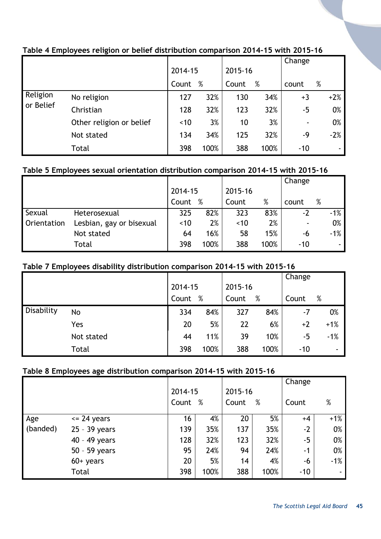|           |                          |         |      |         |      | Change |       |
|-----------|--------------------------|---------|------|---------|------|--------|-------|
|           |                          | 2014-15 |      | 2015-16 |      |        |       |
|           |                          | Count   | $\%$ | Count   | %    | count  | $\%$  |
| Religion  | No religion              | 127     | 32%  | 130     | 34%  | $+3$   | $+2%$ |
| or Belief | Christian                | 128     | 32%  | 123     | 32%  | $-5$   | 0%    |
|           | Other religion or belief | ~10     | 3%   | 10      | 3%   | ۰      | 0%    |
|           | Not stated               | 134     | 34%  | 125     | 32%  | -9     | $-2%$ |
|           | Total                    | 398     | 100% | 388     | 100% | $-10$  | ۰.    |

#### **Table 4 Employees religion or belief distribution comparison 2014-15 with 2015-16**

#### **Table 5 Employees sexual orientation distribution comparison 2014-15 with 2015-16**

|                    |                          |         |      |         |      | Change |   |       |
|--------------------|--------------------------|---------|------|---------|------|--------|---|-------|
|                    |                          | 2014-15 |      | 2015-16 |      |        |   |       |
|                    |                          | Count   | %    | Count   | %    | count  | % |       |
| Sexual             | Heterosexual             | 325     | 82%  | 323     | 83%  | $-2$   |   | $-1%$ |
| <b>Orientation</b> | Lesbian, gay or bisexual | ~10     | 2%   | ~10     | 2%   |        |   | 0%    |
|                    | Not stated               | 64      | 16%  | 58      | 15%  | -6     |   | $-1%$ |
|                    | Total                    | 398     | 100% | 388     | 100% | $-10$  |   |       |

#### **Table 7 Employees disability distribution comparison 2014-15 with 2015-16**

|            |            |         |      |         |      | Change |       |
|------------|------------|---------|------|---------|------|--------|-------|
|            |            | 2014-15 |      | 2015-16 |      |        |       |
|            |            | Count   | %    | Count   | %    | Count  | $\%$  |
| Disability | No         | 334     | 84%  | 327     | 84%  | -7     | 0%    |
|            | Yes        | 20      | 5%   | 22      | 6%   | $+2$   | $+1%$ |
|            | Not stated | 44      | 11%  | 39      | 10%  | -5     | $-1%$ |
|            | Total      | 398     | 100% | 388     | 100% | $-10$  |       |

#### **Table 8 Employees age distribution comparison 2014-15 with 2015-16**

|          |                 |         |      |         |      | Change |        |
|----------|-----------------|---------|------|---------|------|--------|--------|
|          |                 | 2014-15 |      | 2015-16 |      |        |        |
|          |                 | Count % |      | Count   | %    | Count  | %      |
| Age      | $\leq$ 24 years | 16      | 4%   | 20      | 5%   | $+4$   | $+1%$  |
| (banded) | 25 - 39 years   | 139     | 35%  | 137     | 35%  | $-2$   | 0%     |
|          | 40 - 49 years   | 128     | 32%  | 123     | 32%  | $-5$   | 0%     |
|          | 50 - 59 years   | 95      | 24%  | 94      | 24%  | $-1$   | 0%     |
|          | $60+$ years     | 20      | 5%   | 14      | 4%   | -6     | $-1%$  |
|          | Total           | 398     | 100% | 388     | 100% | $-10$  | $\sim$ |